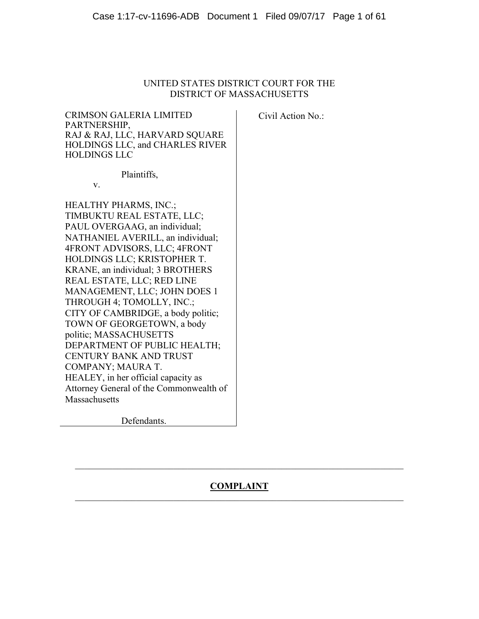# UNITED STATES DISTRICT COURT FOR THE DISTRICT OF MASSACHUSETTS

CRIMSON GALERIA LIMITED PARTNERSHIP, RAJ & RAJ, LLC, HARVARD SQUARE HOLDINGS LLC, and CHARLES RIVER HOLDINGS LLC

Civil Action No.:

Plaintiffs,

v.

HEALTHY PHARMS, INC.; TIMBUKTU REAL ESTATE, LLC; PAUL OVERGAAG, an individual; NATHANIEL AVERILL, an individual; 4FRONT ADVISORS, LLC; 4FRONT HOLDINGS LLC; KRISTOPHER T. KRANE, an individual; 3 BROTHERS REAL ESTATE, LLC; RED LINE MANAGEMENT, LLC; JOHN DOES 1 THROUGH 4; TOMOLLY, INC.; CITY OF CAMBRIDGE, a body politic; TOWN OF GEORGETOWN, a body politic; MASSACHUSETTS DEPARTMENT OF PUBLIC HEALTH; CENTURY BANK AND TRUST COMPANY; MAURA T. HEALEY, in her official capacity as Attorney General of the Commonwealth of **Massachusetts** 

Defendants.

# **COMPLAINT**  $\mathcal{L}_\mathcal{L} = \mathcal{L}_\mathcal{L} = \mathcal{L}_\mathcal{L} = \mathcal{L}_\mathcal{L} = \mathcal{L}_\mathcal{L} = \mathcal{L}_\mathcal{L} = \mathcal{L}_\mathcal{L} = \mathcal{L}_\mathcal{L} = \mathcal{L}_\mathcal{L} = \mathcal{L}_\mathcal{L} = \mathcal{L}_\mathcal{L} = \mathcal{L}_\mathcal{L} = \mathcal{L}_\mathcal{L} = \mathcal{L}_\mathcal{L} = \mathcal{L}_\mathcal{L} = \mathcal{L}_\mathcal{L} = \mathcal{L}_\mathcal{L}$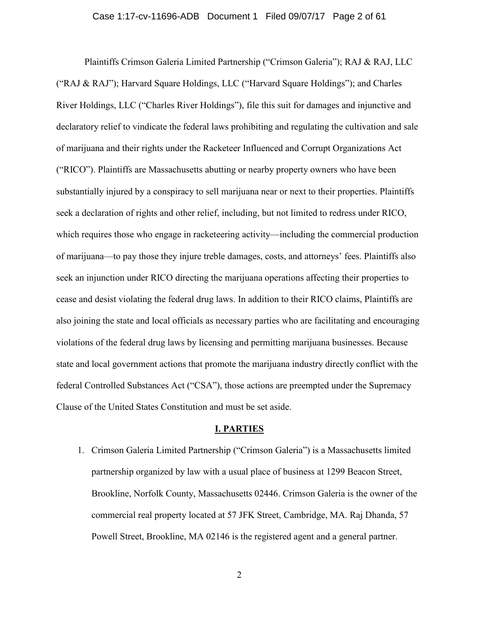### Case 1:17-cv-11696-ADB Document 1 Filed 09/07/17 Page 2 of 61

Plaintiffs Crimson Galeria Limited Partnership ("Crimson Galeria"); RAJ & RAJ, LLC ("RAJ & RAJ"); Harvard Square Holdings, LLC ("Harvard Square Holdings"); and Charles River Holdings, LLC ("Charles River Holdings"), file this suit for damages and injunctive and declaratory relief to vindicate the federal laws prohibiting and regulating the cultivation and sale of marijuana and their rights under the Racketeer Influenced and Corrupt Organizations Act ("RICO"). Plaintiffs are Massachusetts abutting or nearby property owners who have been substantially injured by a conspiracy to sell marijuana near or next to their properties. Plaintiffs seek a declaration of rights and other relief, including, but not limited to redress under RICO, which requires those who engage in racketeering activity—including the commercial production of marijuana—to pay those they injure treble damages, costs, and attorneys' fees. Plaintiffs also seek an injunction under RICO directing the marijuana operations affecting their properties to cease and desist violating the federal drug laws. In addition to their RICO claims, Plaintiffs are also joining the state and local officials as necessary parties who are facilitating and encouraging violations of the federal drug laws by licensing and permitting marijuana businesses. Because state and local government actions that promote the marijuana industry directly conflict with the federal Controlled Substances Act ("CSA"), those actions are preempted under the Supremacy Clause of the United States Constitution and must be set aside.

### **I. PARTIES**

1. Crimson Galeria Limited Partnership ("Crimson Galeria") is a Massachusetts limited partnership organized by law with a usual place of business at 1299 Beacon Street, Brookline, Norfolk County, Massachusetts 02446. Crimson Galeria is the owner of the commercial real property located at 57 JFK Street, Cambridge, MA. Raj Dhanda, 57 Powell Street, Brookline, MA 02146 is the registered agent and a general partner.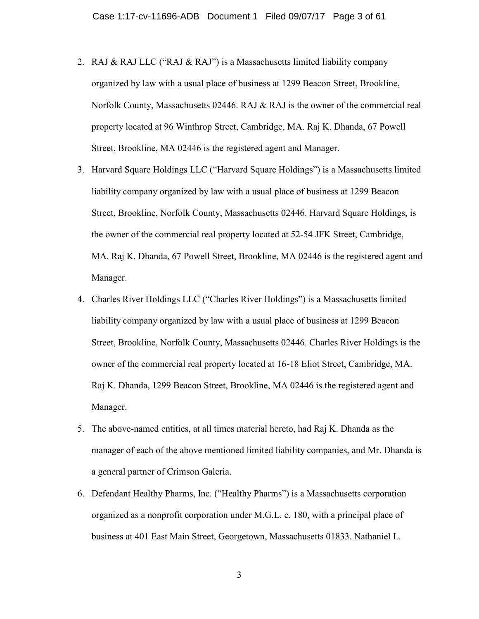- 2. RAJ & RAJ LLC ("RAJ & RAJ") is a Massachusetts limited liability company organized by law with a usual place of business at 1299 Beacon Street, Brookline, Norfolk County, Massachusetts 02446. RAJ & RAJ is the owner of the commercial real property located at 96 Winthrop Street, Cambridge, MA. Raj K. Dhanda, 67 Powell Street, Brookline, MA 02446 is the registered agent and Manager.
- 3. Harvard Square Holdings LLC ("Harvard Square Holdings") is a Massachusetts limited liability company organized by law with a usual place of business at 1299 Beacon Street, Brookline, Norfolk County, Massachusetts 02446. Harvard Square Holdings, is the owner of the commercial real property located at 52-54 JFK Street, Cambridge, MA. Raj K. Dhanda, 67 Powell Street, Brookline, MA 02446 is the registered agent and Manager.
- 4. Charles River Holdings LLC ("Charles River Holdings") is a Massachusetts limited liability company organized by law with a usual place of business at 1299 Beacon Street, Brookline, Norfolk County, Massachusetts 02446. Charles River Holdings is the owner of the commercial real property located at 16-18 Eliot Street, Cambridge, MA. Raj K. Dhanda, 1299 Beacon Street, Brookline, MA 02446 is the registered agent and Manager.
- 5. The above-named entities, at all times material hereto, had Raj K. Dhanda as the manager of each of the above mentioned limited liability companies, and Mr. Dhanda is a general partner of Crimson Galeria.
- 6. Defendant Healthy Pharms, Inc. ("Healthy Pharms") is a Massachusetts corporation organized as a nonprofit corporation under M.G.L. c. 180, with a principal place of business at 401 East Main Street, Georgetown, Massachusetts 01833. Nathaniel L.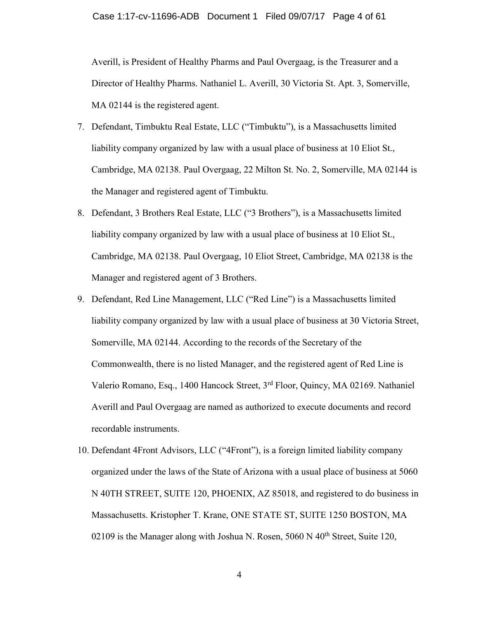Averill, is President of Healthy Pharms and Paul Overgaag, is the Treasurer and a Director of Healthy Pharms. Nathaniel L. Averill, 30 Victoria St. Apt. 3, Somerville, MA 02144 is the registered agent.

- 7. Defendant, Timbuktu Real Estate, LLC ("Timbuktu"), is a Massachusetts limited liability company organized by law with a usual place of business at 10 Eliot St., Cambridge, MA 02138. Paul Overgaag, 22 Milton St. No. 2, Somerville, MA 02144 is the Manager and registered agent of Timbuktu.
- 8. Defendant, 3 Brothers Real Estate, LLC ("3 Brothers"), is a Massachusetts limited liability company organized by law with a usual place of business at 10 Eliot St., Cambridge, MA 02138. Paul Overgaag, 10 Eliot Street, Cambridge, MA 02138 is the Manager and registered agent of 3 Brothers.
- 9. Defendant, Red Line Management, LLC ("Red Line") is a Massachusetts limited liability company organized by law with a usual place of business at 30 Victoria Street, Somerville, MA 02144. According to the records of the Secretary of the Commonwealth, there is no listed Manager, and the registered agent of Red Line is Valerio Romano, Esq., 1400 Hancock Street, 3rd Floor, Quincy, MA 02169. Nathaniel Averill and Paul Overgaag are named as authorized to execute documents and record recordable instruments.
- 10. Defendant 4Front Advisors, LLC ("4Front"), is a foreign limited liability company organized under the laws of the State of Arizona with a usual place of business at 5060 N 40TH STREET, SUITE 120, PHOENIX, AZ 85018, and registered to do business in Massachusetts. Kristopher T. Krane, ONE STATE ST, SUITE 1250 BOSTON, MA 02109 is the Manager along with Joshua N. Rosen,  $5060$  N  $40<sup>th</sup>$  Street, Suite 120,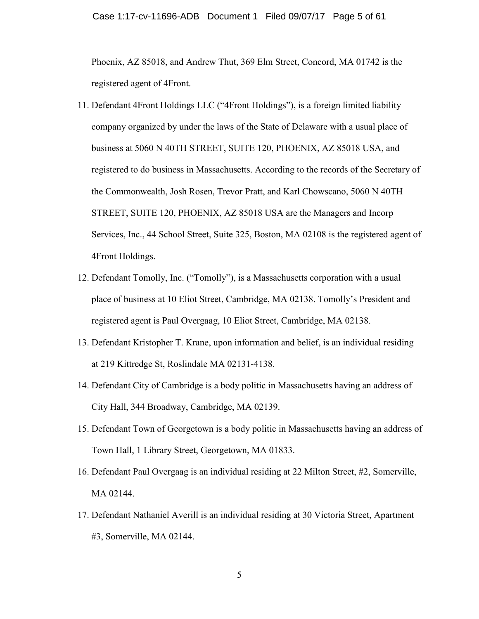### Case 1:17-cv-11696-ADB Document 1 Filed 09/07/17 Page 5 of 61

Phoenix, AZ 85018, and Andrew Thut, 369 Elm Street, Concord, MA 01742 is the registered agent of 4Front.

- 11. Defendant 4Front Holdings LLC ("4Front Holdings"), is a foreign limited liability company organized by under the laws of the State of Delaware with a usual place of business at 5060 N 40TH STREET, SUITE 120, PHOENIX, AZ 85018 USA, and registered to do business in Massachusetts. According to the records of the Secretary of the Commonwealth, Josh Rosen, Trevor Pratt, and Karl Chowscano, 5060 N 40TH STREET, SUITE 120, PHOENIX, AZ 85018 USA are the Managers and Incorp Services, Inc., 44 School Street, Suite 325, Boston, MA 02108 is the registered agent of 4Front Holdings.
- 12. Defendant Tomolly, Inc. ("Tomolly"), is a Massachusetts corporation with a usual place of business at 10 Eliot Street, Cambridge, MA 02138. Tomolly's President and registered agent is Paul Overgaag, 10 Eliot Street, Cambridge, MA 02138.
- 13. Defendant Kristopher T. Krane, upon information and belief, is an individual residing at 219 Kittredge St, Roslindale MA 02131-4138.
- 14. Defendant City of Cambridge is a body politic in Massachusetts having an address of City Hall, 344 Broadway, Cambridge, MA 02139.
- 15. Defendant Town of Georgetown is a body politic in Massachusetts having an address of Town Hall, 1 Library Street, Georgetown, MA 01833.
- 16. Defendant Paul Overgaag is an individual residing at 22 Milton Street, #2, Somerville, MA 02144.
- 17. Defendant Nathaniel Averill is an individual residing at 30 Victoria Street, Apartment #3, Somerville, MA 02144.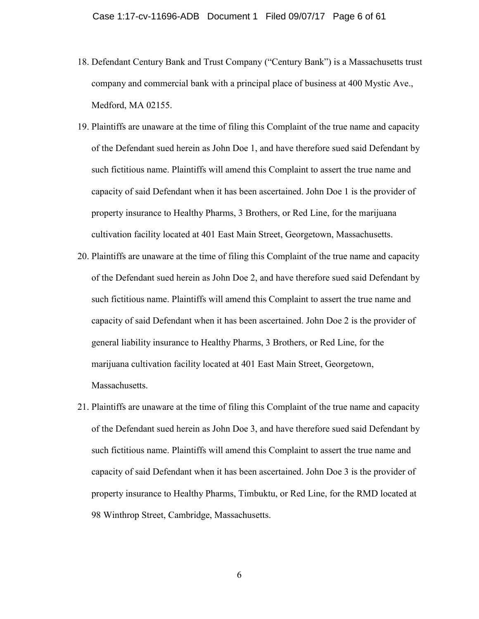- 18. Defendant Century Bank and Trust Company ("Century Bank") is a Massachusetts trust company and commercial bank with a principal place of business at 400 Mystic Ave., Medford, MA 02155.
- 19. Plaintiffs are unaware at the time of filing this Complaint of the true name and capacity of the Defendant sued herein as John Doe 1, and have therefore sued said Defendant by such fictitious name. Plaintiffs will amend this Complaint to assert the true name and capacity of said Defendant when it has been ascertained. John Doe 1 is the provider of property insurance to Healthy Pharms, 3 Brothers, or Red Line, for the marijuana cultivation facility located at 401 East Main Street, Georgetown, Massachusetts.
- 20. Plaintiffs are unaware at the time of filing this Complaint of the true name and capacity of the Defendant sued herein as John Doe 2, and have therefore sued said Defendant by such fictitious name. Plaintiffs will amend this Complaint to assert the true name and capacity of said Defendant when it has been ascertained. John Doe 2 is the provider of general liability insurance to Healthy Pharms, 3 Brothers, or Red Line, for the marijuana cultivation facility located at 401 East Main Street, Georgetown, Massachusetts.
- 21. Plaintiffs are unaware at the time of filing this Complaint of the true name and capacity of the Defendant sued herein as John Doe 3, and have therefore sued said Defendant by such fictitious name. Plaintiffs will amend this Complaint to assert the true name and capacity of said Defendant when it has been ascertained. John Doe 3 is the provider of property insurance to Healthy Pharms, Timbuktu, or Red Line, for the RMD located at 98 Winthrop Street, Cambridge, Massachusetts.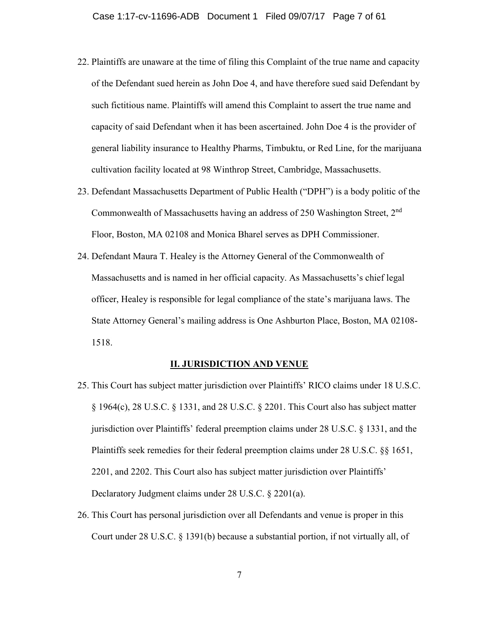- 22. Plaintiffs are unaware at the time of filing this Complaint of the true name and capacity of the Defendant sued herein as John Doe 4, and have therefore sued said Defendant by such fictitious name. Plaintiffs will amend this Complaint to assert the true name and capacity of said Defendant when it has been ascertained. John Doe 4 is the provider of general liability insurance to Healthy Pharms, Timbuktu, or Red Line, for the marijuana cultivation facility located at 98 Winthrop Street, Cambridge, Massachusetts.
- 23. Defendant Massachusetts Department of Public Health ("DPH") is a body politic of the Commonwealth of Massachusetts having an address of 250 Washington Street, 2nd Floor, Boston, MA 02108 and Monica Bharel serves as DPH Commissioner.
- 24. Defendant Maura T. Healey is the Attorney General of the Commonwealth of Massachusetts and is named in her official capacity. As Massachusetts's chief legal officer, Healey is responsible for legal compliance of the state's marijuana laws. The State Attorney General's mailing address is One Ashburton Place, Boston, MA 02108- 1518.

### **II. JURISDICTION AND VENUE**

- 25. This Court has subject matter jurisdiction over Plaintiffs' RICO claims under 18 U.S.C. § 1964(c), 28 U.S.C. § 1331, and 28 U.S.C. § 2201. This Court also has subject matter jurisdiction over Plaintiffs' federal preemption claims under 28 U.S.C. § 1331, and the Plaintiffs seek remedies for their federal preemption claims under 28 U.S.C. §§ 1651, 2201, and 2202. This Court also has subject matter jurisdiction over Plaintiffs' Declaratory Judgment claims under 28 U.S.C. § 2201(a).
- 26. This Court has personal jurisdiction over all Defendants and venue is proper in this Court under 28 U.S.C. § 1391(b) because a substantial portion, if not virtually all, of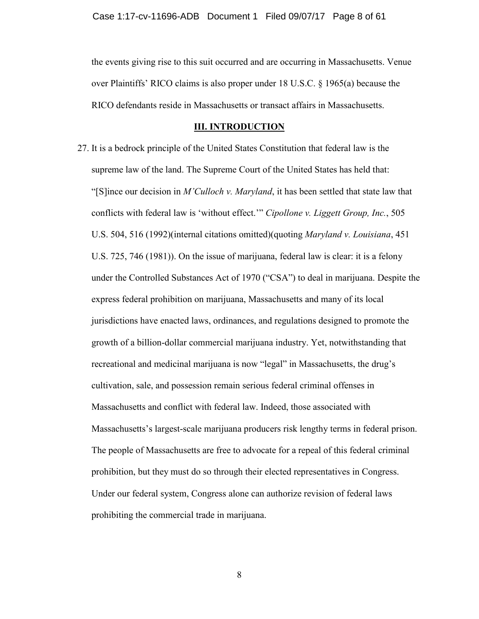the events giving rise to this suit occurred and are occurring in Massachusetts. Venue over Plaintiffs' RICO claims is also proper under 18 U.S.C. § 1965(a) because the RICO defendants reside in Massachusetts or transact affairs in Massachusetts.

#### **III. INTRODUCTION**

27. It is a bedrock principle of the United States Constitution that federal law is the supreme law of the land. The Supreme Court of the United States has held that: "[S]ince our decision in *M'Culloch v. Maryland*, it has been settled that state law that conflicts with federal law is 'without effect.'" *Cipollone v. Liggett Group, Inc.*, 505 U.S. 504, 516 (1992)(internal citations omitted)(quoting *Maryland v. Louisiana*, 451 U.S. 725, 746 (1981)). On the issue of marijuana, federal law is clear: it is a felony under the Controlled Substances Act of 1970 ("CSA") to deal in marijuana. Despite the express federal prohibition on marijuana, Massachusetts and many of its local jurisdictions have enacted laws, ordinances, and regulations designed to promote the growth of a billion-dollar commercial marijuana industry. Yet, notwithstanding that recreational and medicinal marijuana is now "legal" in Massachusetts, the drug's cultivation, sale, and possession remain serious federal criminal offenses in Massachusetts and conflict with federal law. Indeed, those associated with Massachusetts's largest-scale marijuana producers risk lengthy terms in federal prison. The people of Massachusetts are free to advocate for a repeal of this federal criminal prohibition, but they must do so through their elected representatives in Congress. Under our federal system, Congress alone can authorize revision of federal laws prohibiting the commercial trade in marijuana.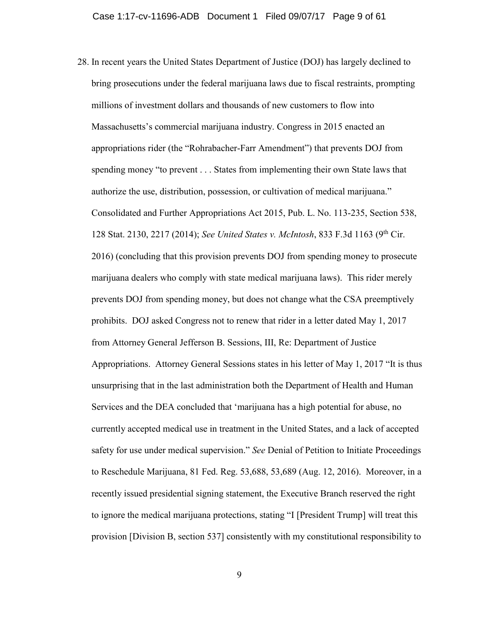28. In recent years the United States Department of Justice (DOJ) has largely declined to bring prosecutions under the federal marijuana laws due to fiscal restraints, prompting millions of investment dollars and thousands of new customers to flow into Massachusetts's commercial marijuana industry. Congress in 2015 enacted an appropriations rider (the "Rohrabacher-Farr Amendment") that prevents DOJ from spending money "to prevent . . . States from implementing their own State laws that authorize the use, distribution, possession, or cultivation of medical marijuana." Consolidated and Further Appropriations Act 2015, Pub. L. No. 113-235, Section 538, 128 Stat. 2130, 2217 (2014); *See United States v. McIntosh*, 833 F.3d 1163 (9th Cir. 2016) (concluding that this provision prevents DOJ from spending money to prosecute marijuana dealers who comply with state medical marijuana laws). This rider merely prevents DOJ from spending money, but does not change what the CSA preemptively prohibits. DOJ asked Congress not to renew that rider in a letter dated May 1, 2017 from Attorney General Jefferson B. Sessions, III, Re: Department of Justice Appropriations. Attorney General Sessions states in his letter of May 1, 2017 "It is thus unsurprising that in the last administration both the Department of Health and Human Services and the DEA concluded that 'marijuana has a high potential for abuse, no currently accepted medical use in treatment in the United States, and a lack of accepted safety for use under medical supervision." *See* Denial of Petition to Initiate Proceedings to Reschedule Marijuana, 81 Fed. Reg. 53,688, 53,689 (Aug. 12, 2016). Moreover, in a recently issued presidential signing statement, the Executive Branch reserved the right to ignore the medical marijuana protections, stating "I [President Trump] will treat this provision [Division B, section 537] consistently with my constitutional responsibility to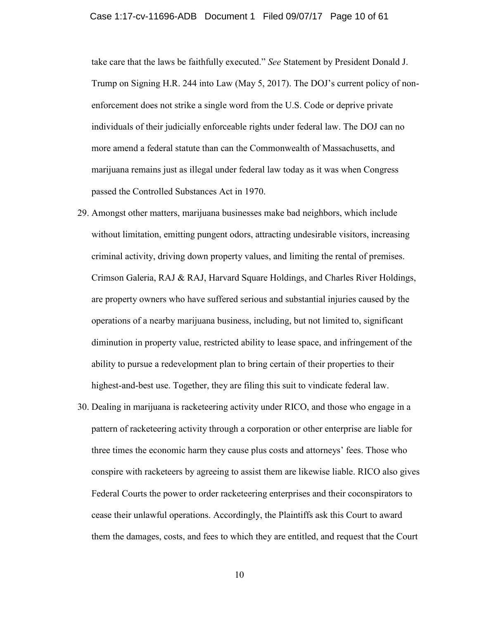### Case 1:17-cv-11696-ADB Document 1 Filed 09/07/17 Page 10 of 61

take care that the laws be faithfully executed." *See* Statement by President Donald J. Trump on Signing H.R. 244 into Law (May 5, 2017). The DOJ's current policy of nonenforcement does not strike a single word from the U.S. Code or deprive private individuals of their judicially enforceable rights under federal law. The DOJ can no more amend a federal statute than can the Commonwealth of Massachusetts, and marijuana remains just as illegal under federal law today as it was when Congress passed the Controlled Substances Act in 1970.

- 29. Amongst other matters, marijuana businesses make bad neighbors, which include without limitation, emitting pungent odors, attracting undesirable visitors, increasing criminal activity, driving down property values, and limiting the rental of premises. Crimson Galeria, RAJ & RAJ, Harvard Square Holdings, and Charles River Holdings, are property owners who have suffered serious and substantial injuries caused by the operations of a nearby marijuana business, including, but not limited to, significant diminution in property value, restricted ability to lease space, and infringement of the ability to pursue a redevelopment plan to bring certain of their properties to their highest-and-best use. Together, they are filing this suit to vindicate federal law.
- 30. Dealing in marijuana is racketeering activity under RICO, and those who engage in a pattern of racketeering activity through a corporation or other enterprise are liable for three times the economic harm they cause plus costs and attorneys' fees. Those who conspire with racketeers by agreeing to assist them are likewise liable. RICO also gives Federal Courts the power to order racketeering enterprises and their coconspirators to cease their unlawful operations. Accordingly, the Plaintiffs ask this Court to award them the damages, costs, and fees to which they are entitled, and request that the Court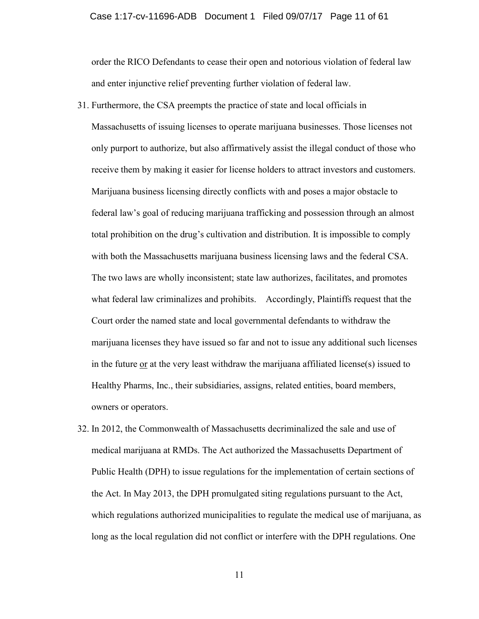#### Case 1:17-cv-11696-ADB Document 1 Filed 09/07/17 Page 11 of 61

order the RICO Defendants to cease their open and notorious violation of federal law and enter injunctive relief preventing further violation of federal law.

- 31. Furthermore, the CSA preempts the practice of state and local officials in Massachusetts of issuing licenses to operate marijuana businesses. Those licenses not only purport to authorize, but also affirmatively assist the illegal conduct of those who receive them by making it easier for license holders to attract investors and customers. Marijuana business licensing directly conflicts with and poses a major obstacle to federal law's goal of reducing marijuana trafficking and possession through an almost total prohibition on the drug's cultivation and distribution. It is impossible to comply with both the Massachusetts marijuana business licensing laws and the federal CSA. The two laws are wholly inconsistent; state law authorizes, facilitates, and promotes what federal law criminalizes and prohibits. Accordingly, Plaintiffs request that the Court order the named state and local governmental defendants to withdraw the marijuana licenses they have issued so far and not to issue any additional such licenses in the future or at the very least withdraw the marijuana affiliated license(s) issued to Healthy Pharms, Inc., their subsidiaries, assigns, related entities, board members, owners or operators.
- 32. In 2012, the Commonwealth of Massachusetts decriminalized the sale and use of medical marijuana at RMDs. The Act authorized the Massachusetts Department of Public Health (DPH) to issue regulations for the implementation of certain sections of the Act. In May 2013, the DPH promulgated siting regulations pursuant to the Act, which regulations authorized municipalities to regulate the medical use of marijuana, as long as the local regulation did not conflict or interfere with the DPH regulations. One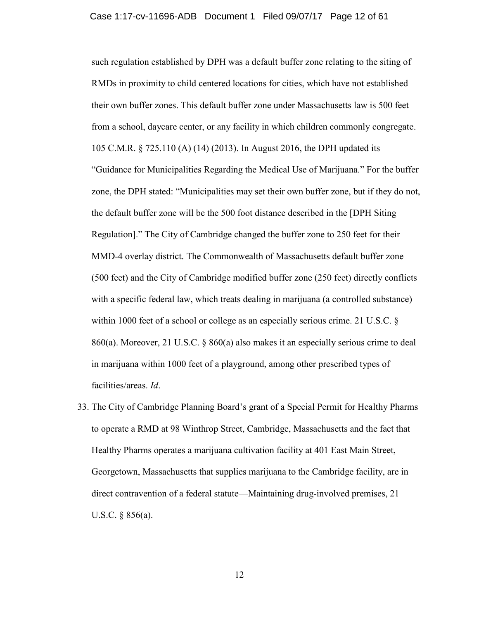such regulation established by DPH was a default buffer zone relating to the siting of RMDs in proximity to child centered locations for cities, which have not established their own buffer zones. This default buffer zone under Massachusetts law is 500 feet from a school, daycare center, or any facility in which children commonly congregate. 105 C.M.R. § 725.110 (A) (14) (2013). In August 2016, the DPH updated its "Guidance for Municipalities Regarding the Medical Use of Marijuana." For the buffer zone, the DPH stated: "Municipalities may set their own buffer zone, but if they do not, the default buffer zone will be the 500 foot distance described in the [DPH Siting Regulation]." The City of Cambridge changed the buffer zone to 250 feet for their MMD-4 overlay district. The Commonwealth of Massachusetts default buffer zone (500 feet) and the City of Cambridge modified buffer zone (250 feet) directly conflicts with a specific federal law, which treats dealing in marijuana (a controlled substance) within 1000 feet of a school or college as an especially serious crime. 21 U.S.C. § 860(a). Moreover, 21 U.S.C. § 860(a) also makes it an especially serious crime to deal in marijuana within 1000 feet of a playground, among other prescribed types of facilities/areas. *Id*.

33. The City of Cambridge Planning Board's grant of a Special Permit for Healthy Pharms to operate a RMD at 98 Winthrop Street, Cambridge, Massachusetts and the fact that Healthy Pharms operates a marijuana cultivation facility at 401 East Main Street, Georgetown, Massachusetts that supplies marijuana to the Cambridge facility, are in direct contravention of a federal statute—Maintaining drug-involved premises, 21 U.S.C. § 856(a).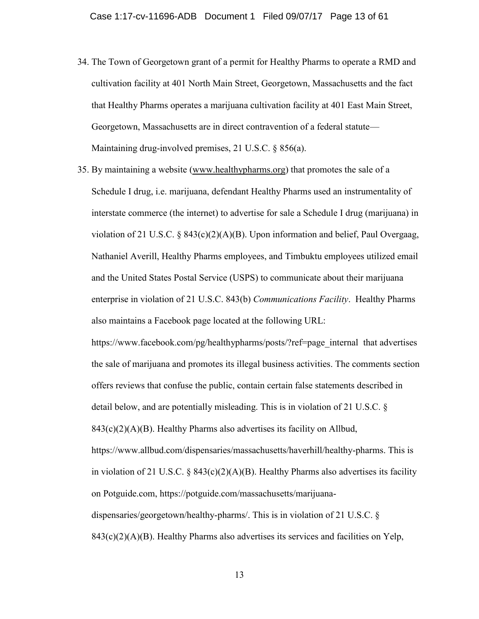- 34. The Town of Georgetown grant of a permit for Healthy Pharms to operate a RMD and cultivation facility at 401 North Main Street, Georgetown, Massachusetts and the fact that Healthy Pharms operates a marijuana cultivation facility at 401 East Main Street, Georgetown, Massachusetts are in direct contravention of a federal statute— Maintaining drug-involved premises, 21 U.S.C. § 856(a).
- 35. By maintaining a website [\(www.healthypharms.org\)](http://www.healthypharms.org/) that promotes the sale of a Schedule I drug, i.e. marijuana, defendant Healthy Pharms used an instrumentality of interstate commerce (the internet) to advertise for sale a Schedule I drug (marijuana) in violation of 21 U.S.C. § 843(c)(2)(A)(B). Upon information and belief, Paul Overgaag, Nathaniel Averill, Healthy Pharms employees, and Timbuktu employees utilized email and the United States Postal Service (USPS) to communicate about their marijuana enterprise in violation of 21 U.S.C. 843(b) *Communications Facility*. Healthy Pharms also maintains a Facebook page located at the following URL: https://www.facebook.com/pg/healthypharms/posts/?ref=page\_internal that advertises the sale of marijuana and promotes its illegal business activities. The comments section

offers reviews that confuse the public, contain certain false statements described in detail below, and are potentially misleading. This is in violation of 21 U.S.C. §

 $843(c)(2)(A)(B)$ . Healthy Pharms also advertises its facility on Allbud,

https://www.allbud.com/dispensaries/massachusetts/haverhill/healthy-pharms. This is in violation of 21 U.S.C. § 843(c)(2)(A)(B). Healthy Pharms also advertises its facility on Potguide.com, https://potguide.com/massachusetts/marijuanadispensaries/georgetown/healthy-pharms/. This is in violation of 21 U.S.C. §

 $843(c)(2)(A)(B)$ . Healthy Pharms also advertises its services and facilities on Yelp,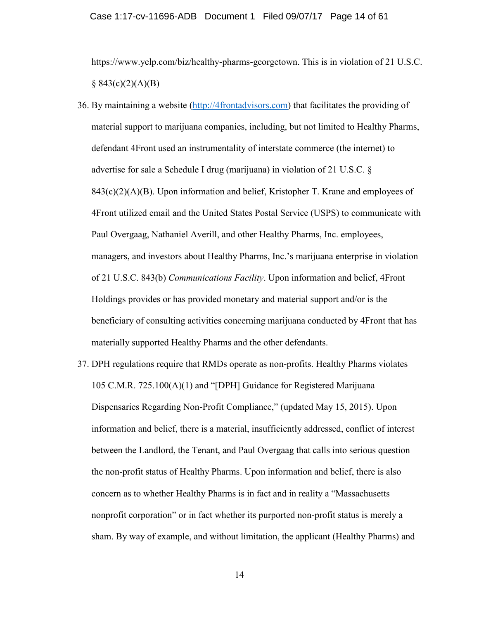### Case 1:17-cv-11696-ADB Document 1 Filed 09/07/17 Page 14 of 61

https://www.yelp.com/biz/healthy-pharms-georgetown. This is in violation of 21 U.S.C.  $§ 843(c)(2)(A)(B)$ 

- 36. By maintaining a website [\(http://4frontadvisors.com\)](http://4frontadvisors.com/) that facilitates the providing of material support to marijuana companies, including, but not limited to Healthy Pharms, defendant 4Front used an instrumentality of interstate commerce (the internet) to advertise for sale a Schedule I drug (marijuana) in violation of 21 U.S.C. §  $843(c)(2)(A)(B)$ . Upon information and belief, Kristopher T. Krane and employees of 4Front utilized email and the United States Postal Service (USPS) to communicate with Paul Overgaag, Nathaniel Averill, and other Healthy Pharms, Inc. employees, managers, and investors about Healthy Pharms, Inc.'s marijuana enterprise in violation of 21 U.S.C. 843(b) *Communications Facility*. Upon information and belief, 4Front Holdings provides or has provided monetary and material support and/or is the beneficiary of consulting activities concerning marijuana conducted by 4Front that has materially supported Healthy Pharms and the other defendants.
- 37. DPH regulations require that RMDs operate as non-profits. Healthy Pharms violates 105 C.M.R. 725.100(A)(1) and "[DPH] Guidance for Registered Marijuana Dispensaries Regarding Non-Profit Compliance," (updated May 15, 2015). Upon information and belief, there is a material, insufficiently addressed, conflict of interest between the Landlord, the Tenant, and Paul Overgaag that calls into serious question the non-profit status of Healthy Pharms. Upon information and belief, there is also concern as to whether Healthy Pharms is in fact and in reality a "Massachusetts nonprofit corporation" or in fact whether its purported non-profit status is merely a sham. By way of example, and without limitation, the applicant (Healthy Pharms) and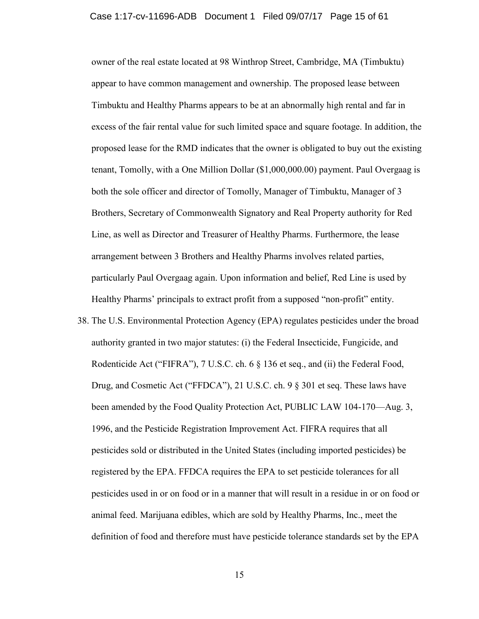### Case 1:17-cv-11696-ADB Document 1 Filed 09/07/17 Page 15 of 61

owner of the real estate located at 98 Winthrop Street, Cambridge, MA (Timbuktu) appear to have common management and ownership. The proposed lease between Timbuktu and Healthy Pharms appears to be at an abnormally high rental and far in excess of the fair rental value for such limited space and square footage. In addition, the proposed lease for the RMD indicates that the owner is obligated to buy out the existing tenant, Tomolly, with a One Million Dollar (\$1,000,000.00) payment. Paul Overgaag is both the sole officer and director of Tomolly, Manager of Timbuktu, Manager of 3 Brothers, Secretary of Commonwealth Signatory and Real Property authority for Red Line, as well as Director and Treasurer of Healthy Pharms. Furthermore, the lease arrangement between 3 Brothers and Healthy Pharms involves related parties, particularly Paul Overgaag again. Upon information and belief, Red Line is used by Healthy Pharms' principals to extract profit from a supposed "non-profit" entity.

38. The U.S. Environmental Protection Agency (EPA) regulates pesticides under the broad authority granted in two major statutes: (i) the Federal Insecticide, Fungicide, and Rodenticide Act ("FIFRA"), 7 U.S.C. ch. 6 § 136 et seq., and (ii) the Federal Food, Drug, and Cosmetic Act ("FFDCA"), 21 U.S.C. ch. 9 § 301 et seq. These laws have been amended by the Food Quality Protection Act, PUBLIC LAW 104-170—Aug. 3, 1996, and the Pesticide Registration Improvement Act. FIFRA requires that all pesticides sold or distributed in the United States (including imported pesticides) be registered by the EPA. FFDCA requires the EPA to set pesticide tolerances for all pesticides used in or on food or in a manner that will result in a residue in or on food or animal feed. Marijuana edibles, which are sold by Healthy Pharms, Inc., meet the definition of food and therefore must have pesticide tolerance standards set by the EPA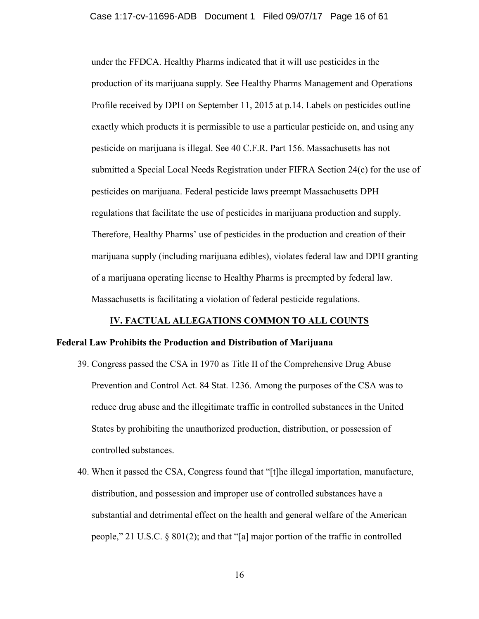### Case 1:17-cv-11696-ADB Document 1 Filed 09/07/17 Page 16 of 61

under the FFDCA. Healthy Pharms indicated that it will use pesticides in the production of its marijuana supply. See Healthy Pharms Management and Operations Profile received by DPH on September 11, 2015 at p.14. Labels on pesticides outline exactly which products it is permissible to use a particular pesticide on, and using any pesticide on marijuana is illegal. See 40 C.F.R. Part 156. Massachusetts has not submitted a Special Local Needs Registration under FIFRA Section 24(c) for the use of pesticides on marijuana. Federal pesticide laws preempt Massachusetts DPH regulations that facilitate the use of pesticides in marijuana production and supply. Therefore, Healthy Pharms' use of pesticides in the production and creation of their marijuana supply (including marijuana edibles), violates federal law and DPH granting of a marijuana operating license to Healthy Pharms is preempted by federal law. Massachusetts is facilitating a violation of federal pesticide regulations.

### **IV. FACTUAL ALLEGATIONS COMMON TO ALL COUNTS**

### **Federal Law Prohibits the Production and Distribution of Marijuana**

- 39. Congress passed the CSA in 1970 as Title II of the Comprehensive Drug Abuse Prevention and Control Act. 84 Stat. 1236. Among the purposes of the CSA was to reduce drug abuse and the illegitimate traffic in controlled substances in the United States by prohibiting the unauthorized production, distribution, or possession of controlled substances.
- 40. When it passed the CSA, Congress found that "[t]he illegal importation, manufacture, distribution, and possession and improper use of controlled substances have a substantial and detrimental effect on the health and general welfare of the American people," 21 U.S.C. § 801(2); and that "[a] major portion of the traffic in controlled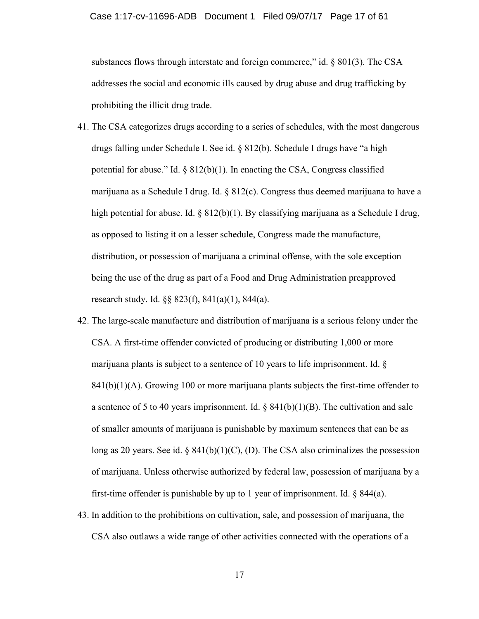substances flows through interstate and foreign commerce," id. § 801(3). The CSA addresses the social and economic ills caused by drug abuse and drug trafficking by prohibiting the illicit drug trade.

- 41. The CSA categorizes drugs according to a series of schedules, with the most dangerous drugs falling under Schedule I. See id. § 812(b). Schedule I drugs have "a high potential for abuse." Id.  $\S 812(b)(1)$ . In enacting the CSA, Congress classified marijuana as a Schedule I drug. Id. § 812(c). Congress thus deemed marijuana to have a high potential for abuse. Id.  $\S 812(b)(1)$ . By classifying marijuana as a Schedule I drug, as opposed to listing it on a lesser schedule, Congress made the manufacture, distribution, or possession of marijuana a criminal offense, with the sole exception being the use of the drug as part of a Food and Drug Administration preapproved research study. Id. §§ 823(f), 841(a)(1), 844(a).
- 42. The large-scale manufacture and distribution of marijuana is a serious felony under the CSA. A first-time offender convicted of producing or distributing 1,000 or more marijuana plants is subject to a sentence of 10 years to life imprisonment. Id. §  $841(b)(1)(A)$ . Growing 100 or more marijuana plants subjects the first-time offender to a sentence of 5 to 40 years imprisonment. Id.  $\S$  841(b)(1)(B). The cultivation and sale of smaller amounts of marijuana is punishable by maximum sentences that can be as long as 20 years. See id.  $\S$  841(b)(1)(C), (D). The CSA also criminalizes the possession of marijuana. Unless otherwise authorized by federal law, possession of marijuana by a first-time offender is punishable by up to 1 year of imprisonment. Id. § 844(a).
- 43. In addition to the prohibitions on cultivation, sale, and possession of marijuana, the CSA also outlaws a wide range of other activities connected with the operations of a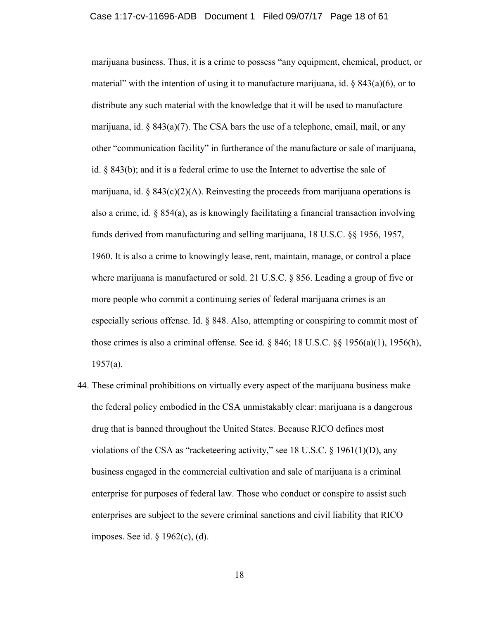#### Case 1:17-cv-11696-ADB Document 1 Filed 09/07/17 Page 18 of 61

marijuana business. Thus, it is a crime to possess "any equipment, chemical, product, or material" with the intention of using it to manufacture marijuana, id.  $\S$  843(a)(6), or to distribute any such material with the knowledge that it will be used to manufacture marijuana, id.  $\S$  843(a)(7). The CSA bars the use of a telephone, email, mail, or any other "communication facility" in furtherance of the manufacture or sale of marijuana, id. § 843(b); and it is a federal crime to use the Internet to advertise the sale of marijuana, id. § 843(c)(2)(A). Reinvesting the proceeds from marijuana operations is also a crime, id.  $\S$  854(a), as is knowingly facilitating a financial transaction involving funds derived from manufacturing and selling marijuana, 18 U.S.C. §§ 1956, 1957, 1960. It is also a crime to knowingly lease, rent, maintain, manage, or control a place where marijuana is manufactured or sold. 21 U.S.C. § 856. Leading a group of five or more people who commit a continuing series of federal marijuana crimes is an especially serious offense. Id. § 848. Also, attempting or conspiring to commit most of those crimes is also a criminal offense. See id.  $\S$  846; 18 U.S.C.  $\S$  $\S$  1956(a)(1), 1956(h), 1957(a).

44. These criminal prohibitions on virtually every aspect of the marijuana business make the federal policy embodied in the CSA unmistakably clear: marijuana is a dangerous drug that is banned throughout the United States. Because RICO defines most violations of the CSA as "racketeering activity," see 18 U.S.C. § 1961(1)(D), any business engaged in the commercial cultivation and sale of marijuana is a criminal enterprise for purposes of federal law. Those who conduct or conspire to assist such enterprises are subject to the severe criminal sanctions and civil liability that RICO imposes. See id. § 1962(c), (d).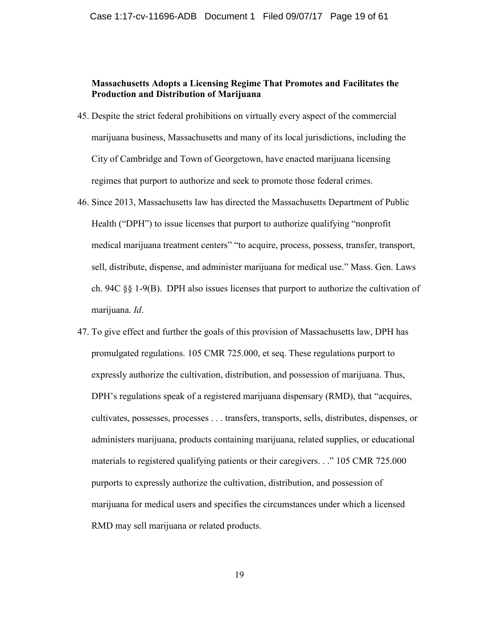## **Massachusetts Adopts a Licensing Regime That Promotes and Facilitates the Production and Distribution of Marijuana**

- 45. Despite the strict federal prohibitions on virtually every aspect of the commercial marijuana business, Massachusetts and many of its local jurisdictions, including the City of Cambridge and Town of Georgetown, have enacted marijuana licensing regimes that purport to authorize and seek to promote those federal crimes.
- 46. Since 2013, Massachusetts law has directed the Massachusetts Department of Public Health ("DPH") to issue licenses that purport to authorize qualifying "nonprofit medical marijuana treatment centers" "to acquire, process, possess, transfer, transport, sell, distribute, dispense, and administer marijuana for medical use." Mass. Gen. Laws ch. 94C §§ 1-9(B). DPH also issues licenses that purport to authorize the cultivation of marijuana. *Id*.
- 47. To give effect and further the goals of this provision of Massachusetts law, DPH has promulgated regulations. 105 CMR 725.000, et seq. These regulations purport to expressly authorize the cultivation, distribution, and possession of marijuana. Thus, DPH's regulations speak of a registered marijuana dispensary (RMD), that "acquires, cultivates, possesses, processes . . . transfers, transports, sells, distributes, dispenses, or administers marijuana, products containing marijuana, related supplies, or educational materials to registered qualifying patients or their caregivers. . ." 105 CMR 725.000 purports to expressly authorize the cultivation, distribution, and possession of marijuana for medical users and specifies the circumstances under which a licensed RMD may sell marijuana or related products.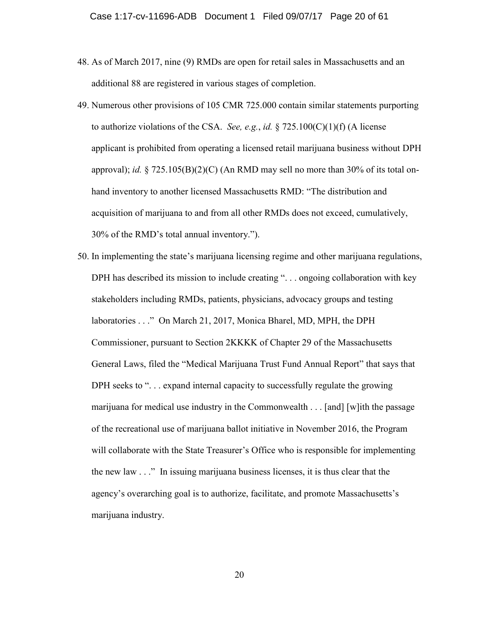- 48. As of March 2017, nine (9) RMDs are open for retail sales in Massachusetts and an additional 88 are registered in various stages of completion.
- 49. Numerous other provisions of 105 CMR 725.000 contain similar statements purporting to authorize violations of the CSA. *See, e.g.*, *id.* § 725.100(C)(1)(f) (A license applicant is prohibited from operating a licensed retail marijuana business without DPH approval); *id.* § 725.105(B)(2)(C) (An RMD may sell no more than 30% of its total onhand inventory to another licensed Massachusetts RMD: "The distribution and acquisition of marijuana to and from all other RMDs does not exceed, cumulatively, 30% of the RMD's total annual inventory.").
- 50. In implementing the state's marijuana licensing regime and other marijuana regulations, DPH has described its mission to include creating "... ongoing collaboration with key stakeholders including RMDs, patients, physicians, advocacy groups and testing laboratories . . ." On March 21, 2017, Monica Bharel, MD, MPH, the DPH Commissioner, pursuant to Section 2KKKK of Chapter 29 of the Massachusetts General Laws, filed the "Medical Marijuana Trust Fund Annual Report" that says that DPH seeks to "... expand internal capacity to successfully regulate the growing marijuana for medical use industry in the Commonwealth . . . [and] [w]ith the passage of the recreational use of marijuana ballot initiative in November 2016, the Program will collaborate with the State Treasurer's Office who is responsible for implementing the new law . . ." In issuing marijuana business licenses, it is thus clear that the agency's overarching goal is to authorize, facilitate, and promote Massachusetts's marijuana industry.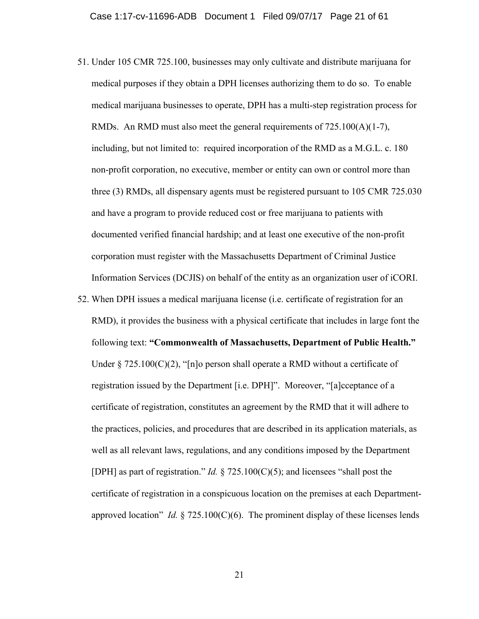- 51. Under 105 CMR 725.100, businesses may only cultivate and distribute marijuana for medical purposes if they obtain a DPH licenses authorizing them to do so. To enable medical marijuana businesses to operate, DPH has a multi-step registration process for RMDs. An RMD must also meet the general requirements of 725.100(A)(1-7), including, but not limited to: required incorporation of the RMD as a M.G.L. c. 180 non-profit corporation, no executive, member or entity can own or control more than three (3) RMDs, all dispensary agents must be registered pursuant to 105 CMR 725.030 and have a program to provide reduced cost or free marijuana to patients with documented verified financial hardship; and at least one executive of the non-profit corporation must register with the Massachusetts Department of Criminal Justice Information Services (DCJIS) on behalf of the entity as an organization user of iCORI.
- 52. When DPH issues a medical marijuana license (i.e. certificate of registration for an RMD), it provides the business with a physical certificate that includes in large font the following text: **"Commonwealth of Massachusetts, Department of Public Health."** Under § 725.100(C)(2), "[n]o person shall operate a RMD without a certificate of registration issued by the Department [i.e. DPH]". Moreover, "[a]cceptance of a certificate of registration, constitutes an agreement by the RMD that it will adhere to the practices, policies, and procedures that are described in its application materials, as well as all relevant laws, regulations, and any conditions imposed by the Department [DPH] as part of registration." *Id.* § 725.100(C)(5); and licensees "shall post the certificate of registration in a conspicuous location on the premises at each Departmentapproved location" *Id.*  $\S$  725.100(C)(6). The prominent display of these licenses lends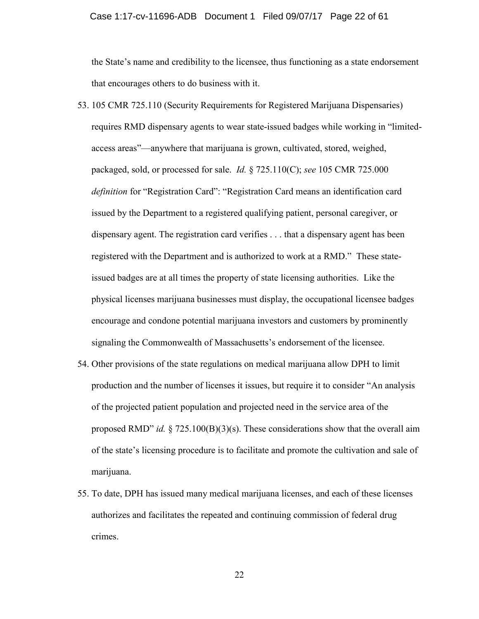### Case 1:17-cv-11696-ADB Document 1 Filed 09/07/17 Page 22 of 61

the State's name and credibility to the licensee, thus functioning as a state endorsement that encourages others to do business with it.

- 53. 105 CMR 725.110 (Security Requirements for Registered Marijuana Dispensaries) requires RMD dispensary agents to wear state-issued badges while working in "limitedaccess areas"—anywhere that marijuana is grown, cultivated, stored, weighed, packaged, sold, or processed for sale. *Id.* § 725.110(C); *see* 105 CMR 725.000 *definition* for "Registration Card": "Registration Card means an identification card issued by the Department to a registered qualifying patient, personal caregiver, or dispensary agent. The registration card verifies . . . that a dispensary agent has been registered with the Department and is authorized to work at a RMD." These stateissued badges are at all times the property of state licensing authorities. Like the physical licenses marijuana businesses must display, the occupational licensee badges encourage and condone potential marijuana investors and customers by prominently signaling the Commonwealth of Massachusetts's endorsement of the licensee.
- 54. Other provisions of the state regulations on medical marijuana allow DPH to limit production and the number of licenses it issues, but require it to consider "An analysis of the projected patient population and projected need in the service area of the proposed RMD" *id.* § 725.100(B)(3)(s). These considerations show that the overall aim of the state's licensing procedure is to facilitate and promote the cultivation and sale of marijuana.
- 55. To date, DPH has issued many medical marijuana licenses, and each of these licenses authorizes and facilitates the repeated and continuing commission of federal drug crimes.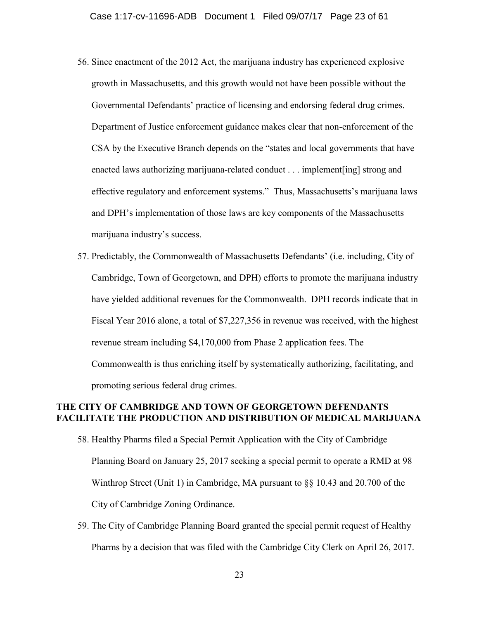- 56. Since enactment of the 2012 Act, the marijuana industry has experienced explosive growth in Massachusetts, and this growth would not have been possible without the Governmental Defendants' practice of licensing and endorsing federal drug crimes. Department of Justice enforcement guidance makes clear that non-enforcement of the CSA by the Executive Branch depends on the "states and local governments that have enacted laws authorizing marijuana-related conduct . . . implement[ing] strong and effective regulatory and enforcement systems." Thus, Massachusetts's marijuana laws and DPH's implementation of those laws are key components of the Massachusetts marijuana industry's success.
- 57. Predictably, the Commonwealth of Massachusetts Defendants' (i.e. including, City of Cambridge, Town of Georgetown, and DPH) efforts to promote the marijuana industry have yielded additional revenues for the Commonwealth. DPH records indicate that in Fiscal Year 2016 alone, a total of \$7,227,356 in revenue was received, with the highest revenue stream including \$4,170,000 from Phase 2 application fees. The Commonwealth is thus enriching itself by systematically authorizing, facilitating, and promoting serious federal drug crimes.

### **THE CITY OF CAMBRIDGE AND TOWN OF GEORGETOWN DEFENDANTS FACILITATE THE PRODUCTION AND DISTRIBUTION OF MEDICAL MARIJUANA**

- 58. Healthy Pharms filed a Special Permit Application with the City of Cambridge Planning Board on January 25, 2017 seeking a special permit to operate a RMD at 98 Winthrop Street (Unit 1) in Cambridge, MA pursuant to §§ 10.43 and 20.700 of the City of Cambridge Zoning Ordinance.
- 59. The City of Cambridge Planning Board granted the special permit request of Healthy Pharms by a decision that was filed with the Cambridge City Clerk on April 26, 2017.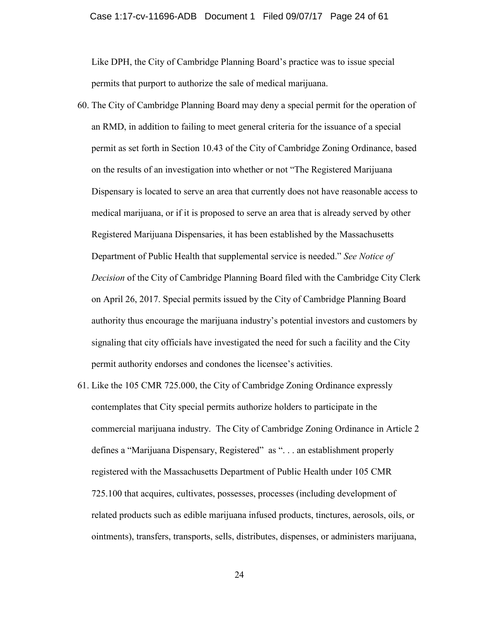Like DPH, the City of Cambridge Planning Board's practice was to issue special permits that purport to authorize the sale of medical marijuana.

- 60. The City of Cambridge Planning Board may deny a special permit for the operation of an RMD, in addition to failing to meet general criteria for the issuance of a special permit as set forth in Section 10.43 of the City of Cambridge Zoning Ordinance, based on the results of an investigation into whether or not "The Registered Marijuana Dispensary is located to serve an area that currently does not have reasonable access to medical marijuana, or if it is proposed to serve an area that is already served by other Registered Marijuana Dispensaries, it has been established by the Massachusetts Department of Public Health that supplemental service is needed." *See Notice of Decision* of the City of Cambridge Planning Board filed with the Cambridge City Clerk on April 26, 2017. Special permits issued by the City of Cambridge Planning Board authority thus encourage the marijuana industry's potential investors and customers by signaling that city officials have investigated the need for such a facility and the City permit authority endorses and condones the licensee's activities.
- 61. Like the 105 CMR 725.000, the City of Cambridge Zoning Ordinance expressly contemplates that City special permits authorize holders to participate in the commercial marijuana industry. The City of Cambridge Zoning Ordinance in Article 2 defines a "Marijuana Dispensary, Registered" as ". . . an establishment properly registered with the Massachusetts Department of Public Health under 105 CMR 725.100 that acquires, cultivates, possesses, processes (including development of related products such as edible marijuana infused products, tinctures, aerosols, oils, or ointments), transfers, transports, sells, distributes, dispenses, or administers marijuana,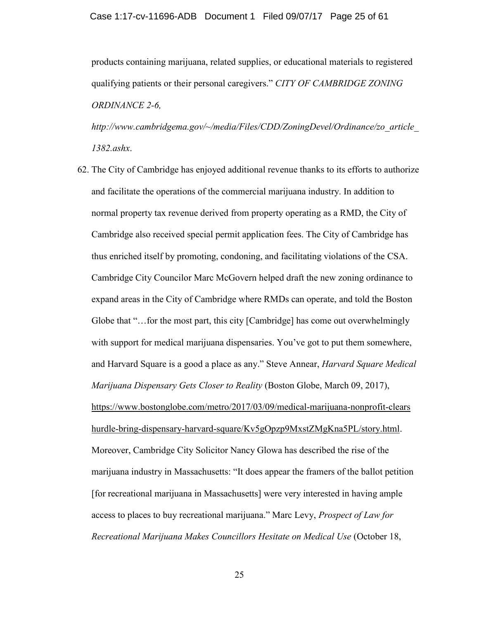products containing marijuana, related supplies, or educational materials to registered qualifying patients or their personal caregivers." *CITY OF CAMBRIDGE ZONING ORDINANCE 2-6,*

*http://www.cambridgema.gov/~/media/Files/CDD/ZoningDevel/Ordinance/zo\_article\_ 1382.ashx*.

62. The City of Cambridge has enjoyed additional revenue thanks to its efforts to authorize and facilitate the operations of the commercial marijuana industry. In addition to normal property tax revenue derived from property operating as a RMD, the City of Cambridge also received special permit application fees. The City of Cambridge has thus enriched itself by promoting, condoning, and facilitating violations of the CSA. Cambridge City Councilor Marc McGovern helped draft the new zoning ordinance to expand areas in the City of Cambridge where RMDs can operate, and told the Boston Globe that "...for the most part, this city [Cambridge] has come out overwhelmingly with support for medical marijuana dispensaries. You've got to put them somewhere, and Harvard Square is a good a place as any." Steve Annear, *Harvard Square Medical Marijuana Dispensary Gets Closer to Reality* (Boston Globe, March 09, 2017), [https://www.bostonglobe.com/metro/2017/03/09/medical-marijuana-nonprofit-clears](https://www.bostonglobe.com/metro/2017/03/09/medical-marijuana-nonprofit-clears%20hurdle-bring-dispensary-harvard-square/Kv5gOpzp9MxstZMgKna5PL/story.html)  [hurdle-bring-dispensary-harvard-square/Kv5gOpzp9MxstZMgKna5PL/story.html.](https://www.bostonglobe.com/metro/2017/03/09/medical-marijuana-nonprofit-clears%20hurdle-bring-dispensary-harvard-square/Kv5gOpzp9MxstZMgKna5PL/story.html) Moreover, Cambridge City Solicitor Nancy Glowa has described the rise of the marijuana industry in Massachusetts: "It does appear the framers of the ballot petition [for recreational marijuana in Massachusetts] were very interested in having ample access to places to buy recreational marijuana." Marc Levy, *Prospect of Law for Recreational Marijuana Makes Councillors Hesitate on Medical Use* (October 18,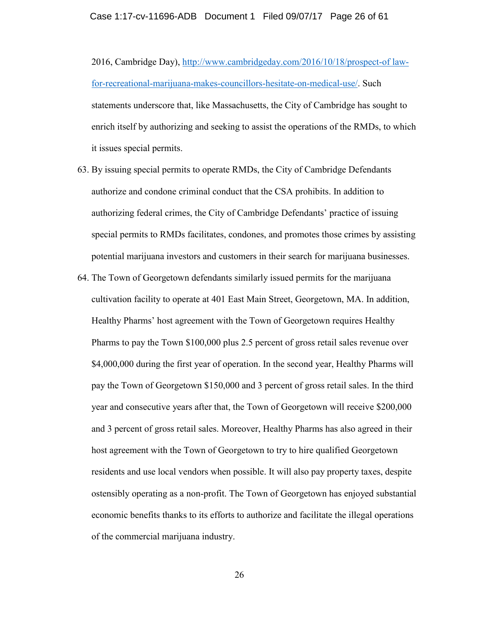2016, Cambridge Day), [http://www.cambridgeday.com/2016/10/18/prospect-of law](http://www.cambridgeday.com/2016/10/18/prospect-of%20law-for-recreational-marijuana-makes-councillors-hesitate-on-medical-use/)[for-recreational-marijuana-makes-councillors-hesitate-on-medical-use/.](http://www.cambridgeday.com/2016/10/18/prospect-of%20law-for-recreational-marijuana-makes-councillors-hesitate-on-medical-use/) Such statements underscore that, like Massachusetts, the City of Cambridge has sought to enrich itself by authorizing and seeking to assist the operations of the RMDs, to which it issues special permits.

- 63. By issuing special permits to operate RMDs, the City of Cambridge Defendants authorize and condone criminal conduct that the CSA prohibits. In addition to authorizing federal crimes, the City of Cambridge Defendants' practice of issuing special permits to RMDs facilitates, condones, and promotes those crimes by assisting potential marijuana investors and customers in their search for marijuana businesses.
- 64. The Town of Georgetown defendants similarly issued permits for the marijuana cultivation facility to operate at 401 East Main Street, Georgetown, MA. In addition, Healthy Pharms' host agreement with the Town of Georgetown requires Healthy Pharms to pay the Town \$100,000 plus 2.5 percent of gross retail sales revenue over \$4,000,000 during the first year of operation. In the second year, Healthy Pharms will pay the Town of Georgetown \$150,000 and 3 percent of gross retail sales. In the third year and consecutive years after that, the Town of Georgetown will receive \$200,000 and 3 percent of gross retail sales. Moreover, Healthy Pharms has also agreed in their host agreement with the Town of Georgetown to try to hire qualified Georgetown residents and use local vendors when possible. It will also pay property taxes, despite ostensibly operating as a non-profit. The Town of Georgetown has enjoyed substantial economic benefits thanks to its efforts to authorize and facilitate the illegal operations of the commercial marijuana industry.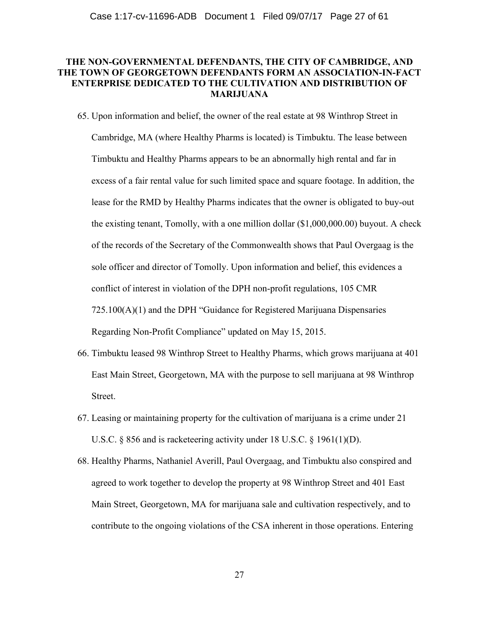# **THE NON-GOVERNMENTAL DEFENDANTS, THE CITY OF CAMBRIDGE, AND THE TOWN OF GEORGETOWN DEFENDANTS FORM AN ASSOCIATION-IN-FACT ENTERPRISE DEDICATED TO THE CULTIVATION AND DISTRIBUTION OF MARIJUANA**

65. Upon information and belief, the owner of the real estate at 98 Winthrop Street in Cambridge, MA (where Healthy Pharms is located) is Timbuktu. The lease between Timbuktu and Healthy Pharms appears to be an abnormally high rental and far in excess of a fair rental value for such limited space and square footage. In addition, the lease for the RMD by Healthy Pharms indicates that the owner is obligated to buy-out the existing tenant, Tomolly, with a one million dollar (\$1,000,000.00) buyout. A check of the records of the Secretary of the Commonwealth shows that Paul Overgaag is the sole officer and director of Tomolly. Upon information and belief, this evidences a conflict of interest in violation of the DPH non-profit regulations, 105 CMR 725.100(A)(1) and the DPH "Guidance for Registered Marijuana Dispensaries Regarding Non-Profit Compliance" updated on May 15, 2015.

- 66. Timbuktu leased 98 Winthrop Street to Healthy Pharms, which grows marijuana at 401 East Main Street, Georgetown, MA with the purpose to sell marijuana at 98 Winthrop Street.
- 67. Leasing or maintaining property for the cultivation of marijuana is a crime under 21 U.S.C. § 856 and is racketeering activity under 18 U.S.C. § 1961(1)(D).
- 68. Healthy Pharms, Nathaniel Averill, Paul Overgaag, and Timbuktu also conspired and agreed to work together to develop the property at 98 Winthrop Street and 401 East Main Street, Georgetown, MA for marijuana sale and cultivation respectively, and to contribute to the ongoing violations of the CSA inherent in those operations. Entering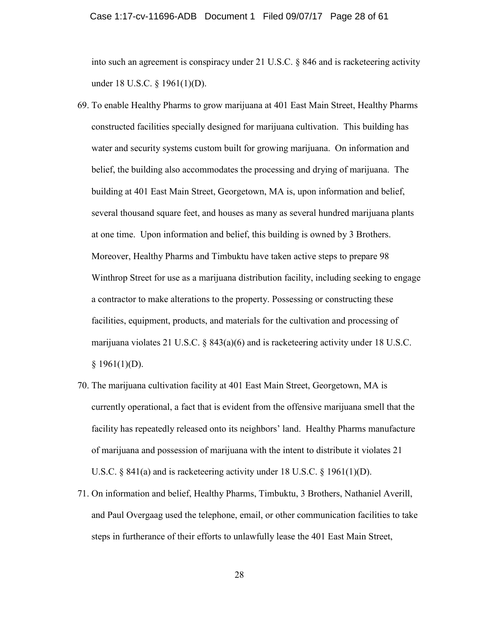#### Case 1:17-cv-11696-ADB Document 1 Filed 09/07/17 Page 28 of 61

into such an agreement is conspiracy under 21 U.S.C. § 846 and is racketeering activity under 18 U.S.C. § 1961(1)(D).

- 69. To enable Healthy Pharms to grow marijuana at 401 East Main Street, Healthy Pharms constructed facilities specially designed for marijuana cultivation. This building has water and security systems custom built for growing marijuana. On information and belief, the building also accommodates the processing and drying of marijuana. The building at 401 East Main Street, Georgetown, MA is, upon information and belief, several thousand square feet, and houses as many as several hundred marijuana plants at one time. Upon information and belief, this building is owned by 3 Brothers. Moreover, Healthy Pharms and Timbuktu have taken active steps to prepare 98 Winthrop Street for use as a marijuana distribution facility, including seeking to engage a contractor to make alterations to the property. Possessing or constructing these facilities, equipment, products, and materials for the cultivation and processing of marijuana violates 21 U.S.C. § 843(a)(6) and is racketeering activity under 18 U.S.C.  $§ 1961(1)(D).$
- 70. The marijuana cultivation facility at 401 East Main Street, Georgetown, MA is currently operational, a fact that is evident from the offensive marijuana smell that the facility has repeatedly released onto its neighbors' land. Healthy Pharms manufacture of marijuana and possession of marijuana with the intent to distribute it violates 21 U.S.C. § 841(a) and is racketeering activity under 18 U.S.C. § 1961(1)(D).
- 71. On information and belief, Healthy Pharms, Timbuktu, 3 Brothers, Nathaniel Averill, and Paul Overgaag used the telephone, email, or other communication facilities to take steps in furtherance of their efforts to unlawfully lease the 401 East Main Street,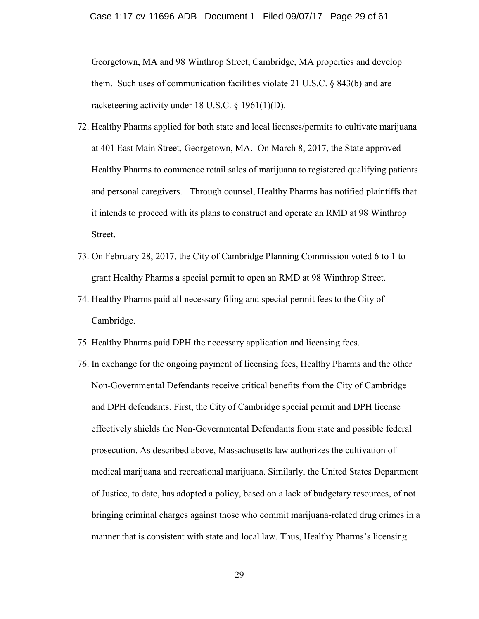Georgetown, MA and 98 Winthrop Street, Cambridge, MA properties and develop them. Such uses of communication facilities violate 21 U.S.C. § 843(b) and are racketeering activity under 18 U.S.C. § 1961(1)(D).

- 72. Healthy Pharms applied for both state and local licenses/permits to cultivate marijuana at 401 East Main Street, Georgetown, MA. On March 8, 2017, the State approved Healthy Pharms to commence retail sales of marijuana to registered qualifying patients and personal caregivers. Through counsel, Healthy Pharms has notified plaintiffs that it intends to proceed with its plans to construct and operate an RMD at 98 Winthrop Street.
- 73. On February 28, 2017, the City of Cambridge Planning Commission voted 6 to 1 to grant Healthy Pharms a special permit to open an RMD at 98 Winthrop Street.
- 74. Healthy Pharms paid all necessary filing and special permit fees to the City of Cambridge.
- 75. Healthy Pharms paid DPH the necessary application and licensing fees.
- 76. In exchange for the ongoing payment of licensing fees, Healthy Pharms and the other Non-Governmental Defendants receive critical benefits from the City of Cambridge and DPH defendants. First, the City of Cambridge special permit and DPH license effectively shields the Non-Governmental Defendants from state and possible federal prosecution. As described above, Massachusetts law authorizes the cultivation of medical marijuana and recreational marijuana. Similarly, the United States Department of Justice, to date, has adopted a policy, based on a lack of budgetary resources, of not bringing criminal charges against those who commit marijuana-related drug crimes in a manner that is consistent with state and local law. Thus, Healthy Pharms's licensing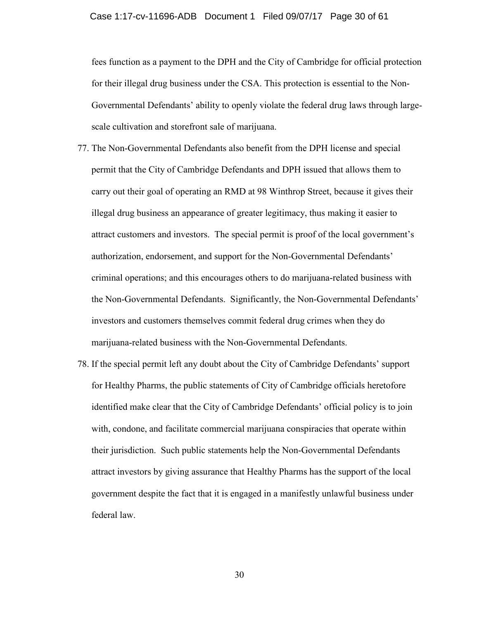fees function as a payment to the DPH and the City of Cambridge for official protection for their illegal drug business under the CSA. This protection is essential to the Non-Governmental Defendants' ability to openly violate the federal drug laws through largescale cultivation and storefront sale of marijuana.

- 77. The Non-Governmental Defendants also benefit from the DPH license and special permit that the City of Cambridge Defendants and DPH issued that allows them to carry out their goal of operating an RMD at 98 Winthrop Street, because it gives their illegal drug business an appearance of greater legitimacy, thus making it easier to attract customers and investors. The special permit is proof of the local government's authorization, endorsement, and support for the Non-Governmental Defendants' criminal operations; and this encourages others to do marijuana-related business with the Non-Governmental Defendants. Significantly, the Non-Governmental Defendants' investors and customers themselves commit federal drug crimes when they do marijuana-related business with the Non-Governmental Defendants.
- 78. If the special permit left any doubt about the City of Cambridge Defendants' support for Healthy Pharms, the public statements of City of Cambridge officials heretofore identified make clear that the City of Cambridge Defendants' official policy is to join with, condone, and facilitate commercial marijuana conspiracies that operate within their jurisdiction. Such public statements help the Non-Governmental Defendants attract investors by giving assurance that Healthy Pharms has the support of the local government despite the fact that it is engaged in a manifestly unlawful business under federal law.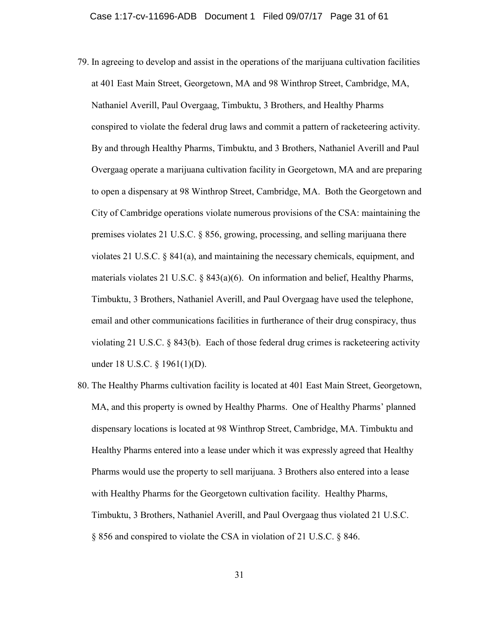- 79. In agreeing to develop and assist in the operations of the marijuana cultivation facilities at 401 East Main Street, Georgetown, MA and 98 Winthrop Street, Cambridge, MA, Nathaniel Averill, Paul Overgaag, Timbuktu, 3 Brothers, and Healthy Pharms conspired to violate the federal drug laws and commit a pattern of racketeering activity. By and through Healthy Pharms, Timbuktu, and 3 Brothers, Nathaniel Averill and Paul Overgaag operate a marijuana cultivation facility in Georgetown, MA and are preparing to open a dispensary at 98 Winthrop Street, Cambridge, MA. Both the Georgetown and City of Cambridge operations violate numerous provisions of the CSA: maintaining the premises violates 21 U.S.C. § 856, growing, processing, and selling marijuana there violates 21 U.S.C. § 841(a), and maintaining the necessary chemicals, equipment, and materials violates 21 U.S.C. § 843(a)(6). On information and belief, Healthy Pharms, Timbuktu, 3 Brothers, Nathaniel Averill, and Paul Overgaag have used the telephone, email and other communications facilities in furtherance of their drug conspiracy, thus violating 21 U.S.C. § 843(b). Each of those federal drug crimes is racketeering activity under 18 U.S.C. § 1961(1)(D).
- 80. The Healthy Pharms cultivation facility is located at 401 East Main Street, Georgetown, MA, and this property is owned by Healthy Pharms. One of Healthy Pharms' planned dispensary locations is located at 98 Winthrop Street, Cambridge, MA. Timbuktu and Healthy Pharms entered into a lease under which it was expressly agreed that Healthy Pharms would use the property to sell marijuana. 3 Brothers also entered into a lease with Healthy Pharms for the Georgetown cultivation facility. Healthy Pharms, Timbuktu, 3 Brothers, Nathaniel Averill, and Paul Overgaag thus violated 21 U.S.C. § 856 and conspired to violate the CSA in violation of 21 U.S.C. § 846.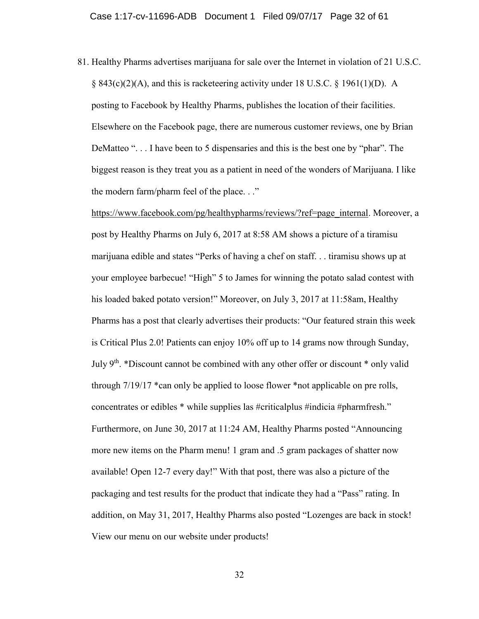81. Healthy Pharms advertises marijuana for sale over the Internet in violation of 21 U.S.C.  $\S$  843(c)(2)(A), and this is racketeering activity under 18 U.S.C.  $\S$  1961(1)(D). A posting to Facebook by Healthy Pharms, publishes the location of their facilities. Elsewhere on the Facebook page, there are numerous customer reviews, one by Brian DeMatteo ". . . I have been to 5 dispensaries and this is the best one by "phar". The biggest reason is they treat you as a patient in need of the wonders of Marijuana. I like the modern farm/pharm feel of the place. . ."

[https://www.facebook.com/pg/healthypharms/reviews/?ref=page\\_internal.](https://www.facebook.com/pg/healthypharms/reviews/?ref=page_internal) Moreover, a post by Healthy Pharms on July 6, 2017 at 8:58 AM shows a picture of a tiramisu marijuana edible and states "Perks of having a chef on staff. . . tiramisu shows up at your employee barbecue! "High" 5 to James for winning the potato salad contest with his loaded baked potato version!" Moreover, on July 3, 2017 at 11:58am, Healthy Pharms has a post that clearly advertises their products: "Our featured strain this week is Critical Plus 2.0! Patients can enjoy 10% off up to 14 grams now through Sunday, July  $9<sup>th</sup>$ . \*Discount cannot be combined with any other offer or discount \* only valid through 7/19/17 \*can only be applied to loose flower \*not applicable on pre rolls, concentrates or edibles \* while supplies las #criticalplus #indicia #pharmfresh." Furthermore, on June 30, 2017 at 11:24 AM, Healthy Pharms posted "Announcing more new items on the Pharm menu! 1 gram and .5 gram packages of shatter now available! Open 12-7 every day!" With that post, there was also a picture of the packaging and test results for the product that indicate they had a "Pass" rating. In addition, on May 31, 2017, Healthy Pharms also posted "Lozenges are back in stock! View our menu on our website under products!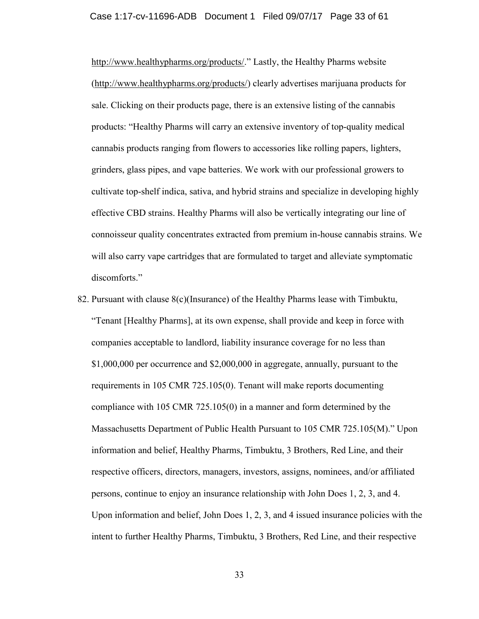### Case 1:17-cv-11696-ADB Document 1 Filed 09/07/17 Page 33 of 61

<http://www.healthypharms.org/products/>." Lastly, the Healthy Pharms website [\(http://www.healthypharms.org/products/\)](http://www.healthypharms.org/products/) clearly advertises marijuana products for sale. Clicking on their products page, there is an extensive listing of the cannabis products: "Healthy Pharms will carry an extensive inventory of top-quality medical cannabis products ranging from flowers to accessories like rolling papers, lighters, grinders, glass pipes, and vape batteries. We work with our professional growers to cultivate top-shelf indica, sativa, and hybrid strains and specialize in developing highly effective CBD strains. Healthy Pharms will also be vertically integrating our line of connoisseur quality concentrates extracted from premium in-house cannabis strains. We will also carry vape cartridges that are formulated to target and alleviate symptomatic discomforts."

82. Pursuant with clause 8(c)(Insurance) of the Healthy Pharms lease with Timbuktu, "Tenant [Healthy Pharms], at its own expense, shall provide and keep in force with companies acceptable to landlord, liability insurance coverage for no less than \$1,000,000 per occurrence and \$2,000,000 in aggregate, annually, pursuant to the requirements in 105 CMR 725.105(0). Tenant will make reports documenting compliance with 105 CMR 725.105(0) in a manner and form determined by the Massachusetts Department of Public Health Pursuant to 105 CMR 725.105(M)." Upon information and belief, Healthy Pharms, Timbuktu, 3 Brothers, Red Line, and their respective officers, directors, managers, investors, assigns, nominees, and/or affiliated persons, continue to enjoy an insurance relationship with John Does 1, 2, 3, and 4. Upon information and belief, John Does 1, 2, 3, and 4 issued insurance policies with the intent to further Healthy Pharms, Timbuktu, 3 Brothers, Red Line, and their respective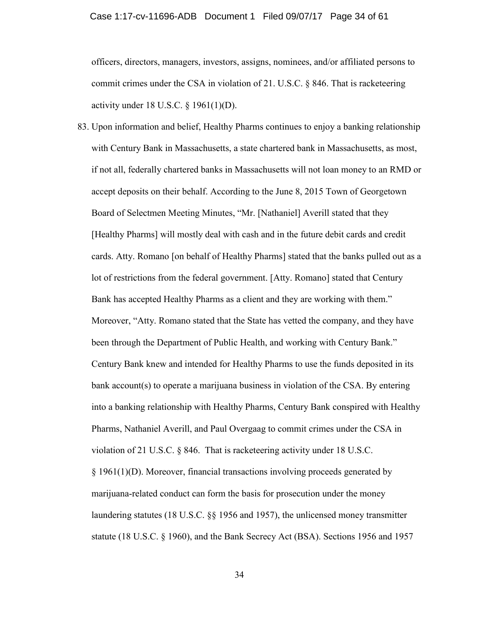officers, directors, managers, investors, assigns, nominees, and/or affiliated persons to commit crimes under the CSA in violation of 21. U.S.C. § 846. That is racketeering activity under 18 U.S.C. § 1961(1)(D).

83. Upon information and belief, Healthy Pharms continues to enjoy a banking relationship with Century Bank in Massachusetts, a state chartered bank in Massachusetts, as most, if not all, federally chartered banks in Massachusetts will not loan money to an RMD or accept deposits on their behalf. According to the June 8, 2015 Town of Georgetown Board of Selectmen Meeting Minutes, "Mr. [Nathaniel] Averill stated that they [Healthy Pharms] will mostly deal with cash and in the future debit cards and credit cards. Atty. Romano [on behalf of Healthy Pharms] stated that the banks pulled out as a lot of restrictions from the federal government. [Atty. Romano] stated that Century Bank has accepted Healthy Pharms as a client and they are working with them." Moreover, "Atty. Romano stated that the State has vetted the company, and they have been through the Department of Public Health, and working with Century Bank." Century Bank knew and intended for Healthy Pharms to use the funds deposited in its bank account(s) to operate a marijuana business in violation of the CSA. By entering into a banking relationship with Healthy Pharms, Century Bank conspired with Healthy Pharms, Nathaniel Averill, and Paul Overgaag to commit crimes under the CSA in violation of 21 U.S.C. § 846. That is racketeering activity under 18 U.S.C. § 1961(1)(D). Moreover, financial transactions involving proceeds generated by marijuana-related conduct can form the basis for prosecution under the money laundering statutes (18 U.S.C. §§ 1956 and 1957), the unlicensed money transmitter statute (18 U.S.C. § 1960), and the Bank Secrecy Act (BSA). Sections 1956 and 1957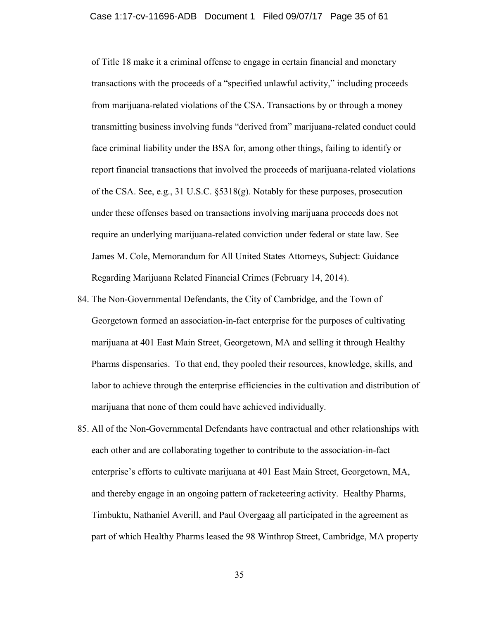of Title 18 make it a criminal offense to engage in certain financial and monetary transactions with the proceeds of a "specified unlawful activity," including proceeds from marijuana-related violations of the CSA. Transactions by or through a money transmitting business involving funds "derived from" marijuana-related conduct could face criminal liability under the BSA for, among other things, failing to identify or report financial transactions that involved the proceeds of marijuana-related violations of the CSA. See, e.g., 31 U.S.C. §5318(g). Notably for these purposes, prosecution under these offenses based on transactions involving marijuana proceeds does not require an underlying marijuana-related conviction under federal or state law. See James M. Cole, Memorandum for All United States Attorneys, Subject: Guidance Regarding Marijuana Related Financial Crimes (February 14, 2014).

- 84. The Non-Governmental Defendants, the City of Cambridge, and the Town of Georgetown formed an association-in-fact enterprise for the purposes of cultivating marijuana at 401 East Main Street, Georgetown, MA and selling it through Healthy Pharms dispensaries. To that end, they pooled their resources, knowledge, skills, and labor to achieve through the enterprise efficiencies in the cultivation and distribution of marijuana that none of them could have achieved individually.
- 85. All of the Non-Governmental Defendants have contractual and other relationships with each other and are collaborating together to contribute to the association-in-fact enterprise's efforts to cultivate marijuana at 401 East Main Street, Georgetown, MA, and thereby engage in an ongoing pattern of racketeering activity. Healthy Pharms, Timbuktu, Nathaniel Averill, and Paul Overgaag all participated in the agreement as part of which Healthy Pharms leased the 98 Winthrop Street, Cambridge, MA property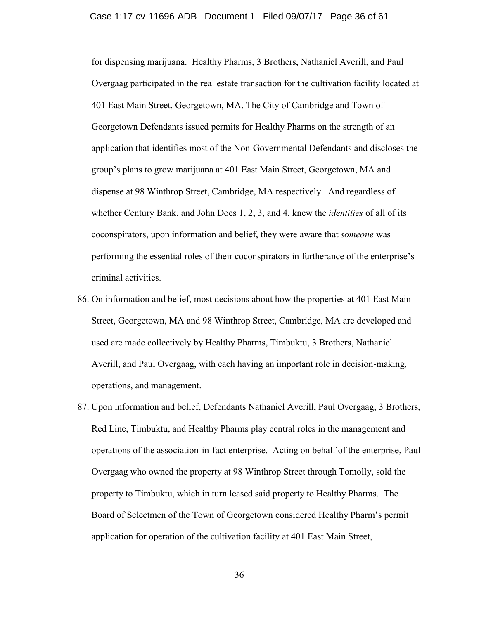### Case 1:17-cv-11696-ADB Document 1 Filed 09/07/17 Page 36 of 61

for dispensing marijuana. Healthy Pharms, 3 Brothers, Nathaniel Averill, and Paul Overgaag participated in the real estate transaction for the cultivation facility located at 401 East Main Street, Georgetown, MA. The City of Cambridge and Town of Georgetown Defendants issued permits for Healthy Pharms on the strength of an application that identifies most of the Non-Governmental Defendants and discloses the group's plans to grow marijuana at 401 East Main Street, Georgetown, MA and dispense at 98 Winthrop Street, Cambridge, MA respectively. And regardless of whether Century Bank, and John Does 1, 2, 3, and 4, knew the *identities* of all of its coconspirators, upon information and belief, they were aware that *someone* was performing the essential roles of their coconspirators in furtherance of the enterprise's criminal activities.

- 86. On information and belief, most decisions about how the properties at 401 East Main Street, Georgetown, MA and 98 Winthrop Street, Cambridge, MA are developed and used are made collectively by Healthy Pharms, Timbuktu, 3 Brothers, Nathaniel Averill, and Paul Overgaag, with each having an important role in decision-making, operations, and management.
- 87. Upon information and belief, Defendants Nathaniel Averill, Paul Overgaag, 3 Brothers, Red Line, Timbuktu, and Healthy Pharms play central roles in the management and operations of the association-in-fact enterprise. Acting on behalf of the enterprise, Paul Overgaag who owned the property at 98 Winthrop Street through Tomolly, sold the property to Timbuktu, which in turn leased said property to Healthy Pharms. The Board of Selectmen of the Town of Georgetown considered Healthy Pharm's permit application for operation of the cultivation facility at 401 East Main Street,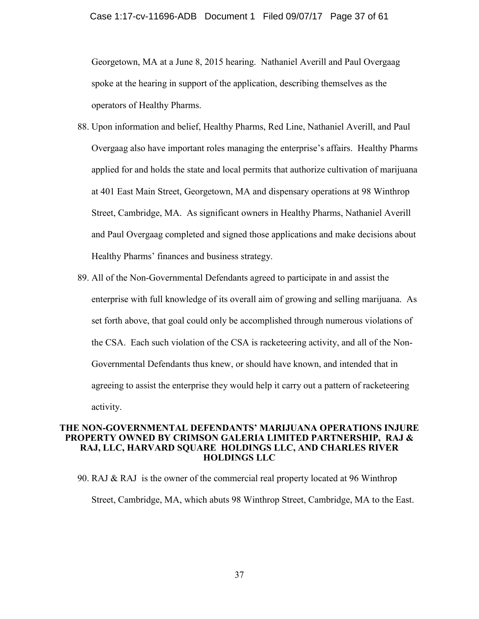Georgetown, MA at a June 8, 2015 hearing. Nathaniel Averill and Paul Overgaag spoke at the hearing in support of the application, describing themselves as the operators of Healthy Pharms.

- 88. Upon information and belief, Healthy Pharms, Red Line, Nathaniel Averill, and Paul Overgaag also have important roles managing the enterprise's affairs. Healthy Pharms applied for and holds the state and local permits that authorize cultivation of marijuana at 401 East Main Street, Georgetown, MA and dispensary operations at 98 Winthrop Street, Cambridge, MA. As significant owners in Healthy Pharms, Nathaniel Averill and Paul Overgaag completed and signed those applications and make decisions about Healthy Pharms' finances and business strategy.
- 89. All of the Non-Governmental Defendants agreed to participate in and assist the enterprise with full knowledge of its overall aim of growing and selling marijuana. As set forth above, that goal could only be accomplished through numerous violations of the CSA. Each such violation of the CSA is racketeering activity, and all of the Non-Governmental Defendants thus knew, or should have known, and intended that in agreeing to assist the enterprise they would help it carry out a pattern of racketeering activity.

### **THE NON-GOVERNMENTAL DEFENDANTS' MARIJUANA OPERATIONS INJURE PROPERTY OWNED BY CRIMSON GALERIA LIMITED PARTNERSHIP, RAJ & RAJ, LLC, HARVARD SQUARE HOLDINGS LLC, AND CHARLES RIVER HOLDINGS LLC**

90. RAJ & RAJ is the owner of the commercial real property located at 96 Winthrop Street, Cambridge, MA, which abuts 98 Winthrop Street, Cambridge, MA to the East.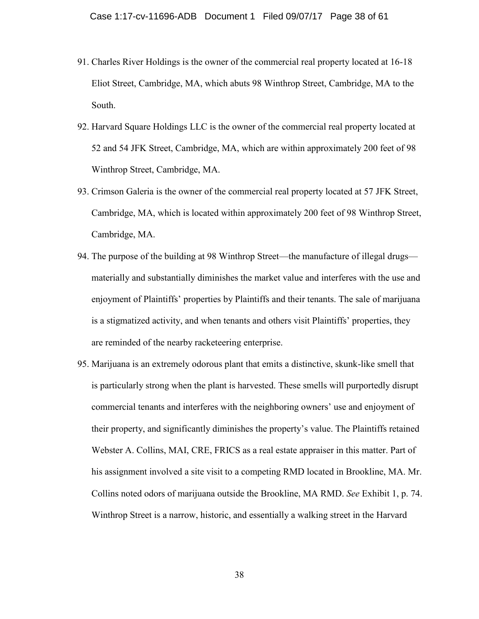- 91. Charles River Holdings is the owner of the commercial real property located at 16-18 Eliot Street, Cambridge, MA, which abuts 98 Winthrop Street, Cambridge, MA to the South.
- 92. Harvard Square Holdings LLC is the owner of the commercial real property located at 52 and 54 JFK Street, Cambridge, MA, which are within approximately 200 feet of 98 Winthrop Street, Cambridge, MA.
- 93. Crimson Galeria is the owner of the commercial real property located at 57 JFK Street, Cambridge, MA, which is located within approximately 200 feet of 98 Winthrop Street, Cambridge, MA.
- 94. The purpose of the building at 98 Winthrop Street—the manufacture of illegal drugs materially and substantially diminishes the market value and interferes with the use and enjoyment of Plaintiffs' properties by Plaintiffs and their tenants. The sale of marijuana is a stigmatized activity, and when tenants and others visit Plaintiffs' properties, they are reminded of the nearby racketeering enterprise.
- 95. Marijuana is an extremely odorous plant that emits a distinctive, skunk-like smell that is particularly strong when the plant is harvested. These smells will purportedly disrupt commercial tenants and interferes with the neighboring owners' use and enjoyment of their property, and significantly diminishes the property's value. The Plaintiffs retained Webster A. Collins, MAI, CRE, FRICS as a real estate appraiser in this matter. Part of his assignment involved a site visit to a competing RMD located in Brookline, MA. Mr. Collins noted odors of marijuana outside the Brookline, MA RMD. *See* Exhibit 1, p. 74. Winthrop Street is a narrow, historic, and essentially a walking street in the Harvard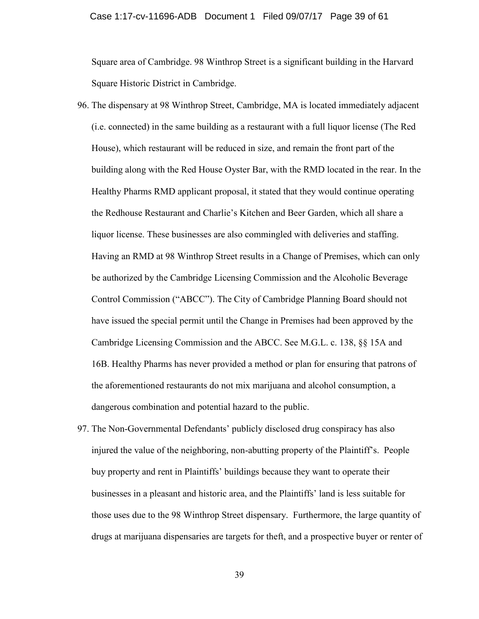### Case 1:17-cv-11696-ADB Document 1 Filed 09/07/17 Page 39 of 61

Square area of Cambridge. 98 Winthrop Street is a significant building in the Harvard Square Historic District in Cambridge.

- 96. The dispensary at 98 Winthrop Street, Cambridge, MA is located immediately adjacent (i.e. connected) in the same building as a restaurant with a full liquor license (The Red House), which restaurant will be reduced in size, and remain the front part of the building along with the Red House Oyster Bar, with the RMD located in the rear. In the Healthy Pharms RMD applicant proposal, it stated that they would continue operating the Redhouse Restaurant and Charlie's Kitchen and Beer Garden, which all share a liquor license. These businesses are also commingled with deliveries and staffing. Having an RMD at 98 Winthrop Street results in a Change of Premises, which can only be authorized by the Cambridge Licensing Commission and the Alcoholic Beverage Control Commission ("ABCC"). The City of Cambridge Planning Board should not have issued the special permit until the Change in Premises had been approved by the Cambridge Licensing Commission and the ABCC. See M.G.L. c. 138, §§ 15A and 16B. Healthy Pharms has never provided a method or plan for ensuring that patrons of the aforementioned restaurants do not mix marijuana and alcohol consumption, a dangerous combination and potential hazard to the public.
- 97. The Non-Governmental Defendants' publicly disclosed drug conspiracy has also injured the value of the neighboring, non-abutting property of the Plaintiff's. People buy property and rent in Plaintiffs' buildings because they want to operate their businesses in a pleasant and historic area, and the Plaintiffs' land is less suitable for those uses due to the 98 Winthrop Street dispensary. Furthermore, the large quantity of drugs at marijuana dispensaries are targets for theft, and a prospective buyer or renter of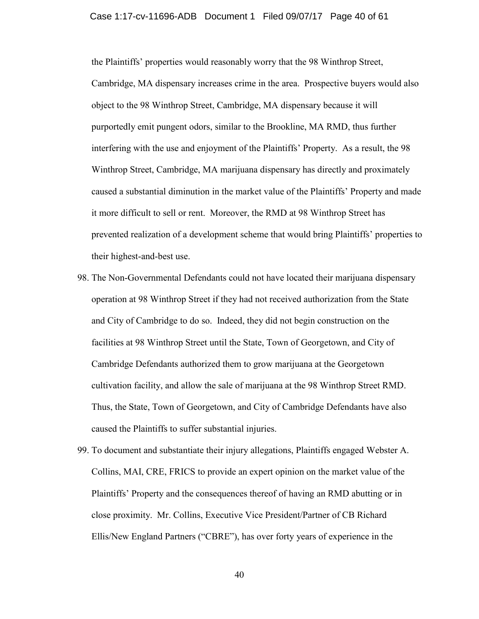#### Case 1:17-cv-11696-ADB Document 1 Filed 09/07/17 Page 40 of 61

the Plaintiffs' properties would reasonably worry that the 98 Winthrop Street, Cambridge, MA dispensary increases crime in the area. Prospective buyers would also object to the 98 Winthrop Street, Cambridge, MA dispensary because it will purportedly emit pungent odors, similar to the Brookline, MA RMD, thus further interfering with the use and enjoyment of the Plaintiffs' Property. As a result, the 98 Winthrop Street, Cambridge, MA marijuana dispensary has directly and proximately caused a substantial diminution in the market value of the Plaintiffs' Property and made it more difficult to sell or rent. Moreover, the RMD at 98 Winthrop Street has prevented realization of a development scheme that would bring Plaintiffs' properties to their highest-and-best use.

- 98. The Non-Governmental Defendants could not have located their marijuana dispensary operation at 98 Winthrop Street if they had not received authorization from the State and City of Cambridge to do so. Indeed, they did not begin construction on the facilities at 98 Winthrop Street until the State, Town of Georgetown, and City of Cambridge Defendants authorized them to grow marijuana at the Georgetown cultivation facility, and allow the sale of marijuana at the 98 Winthrop Street RMD. Thus, the State, Town of Georgetown, and City of Cambridge Defendants have also caused the Plaintiffs to suffer substantial injuries.
- 99. To document and substantiate their injury allegations, Plaintiffs engaged Webster A. Collins, MAI, CRE, FRICS to provide an expert opinion on the market value of the Plaintiffs' Property and the consequences thereof of having an RMD abutting or in close proximity. Mr. Collins, Executive Vice President/Partner of CB Richard Ellis/New England Partners ("CBRE"), has over forty years of experience in the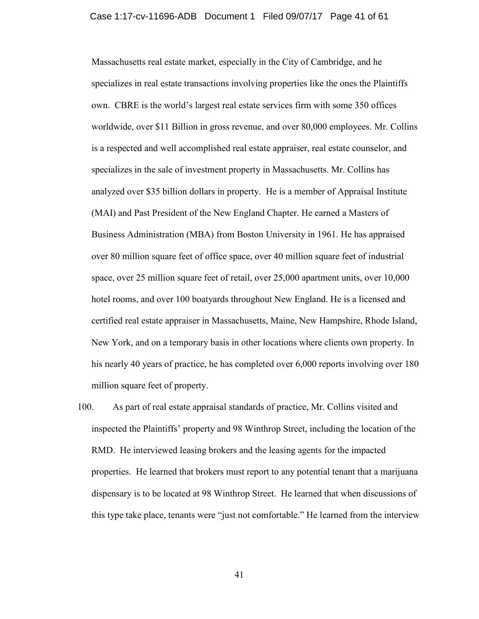### Case 1:17-cv-11696-ADB Document 1 Filed 09/07/17 Page 41 of 61

Massachusetts real estate market, especially in the City of Cambridge, and he specializes in real estate transactions involving properties like the ones the Plaintiffs own. CBRE is the world's largest real estate services firm with some 350 offices worldwide, over \$11 Billion in gross revenue, and over 80,000 employees. Mr. Collins is a respected and well accomplished real estate appraiser, real estate counselor, and specializes in the sale of investment property in Massachusetts. Mr. Collins has analyzed over \$35 billion dollars in property. He is a member of Appraisal Institute (MAI) and Past President of the New England Chapter. He earned a Masters of Business Administration (MBA) from Boston University in 1961. He has appraised over 80 million square feet of office space, over 40 million square feet of industrial space, over 25 million square feet of retail, over 25,000 apartment units, over 10,000 hotel rooms, and over 100 boatyards throughout New England. He is a licensed and certified real estate appraiser in Massachusetts, Maine, New Hampshire, Rhode Island, New York, and on a temporary basis in other locations where clients own property. In his nearly 40 years of practice, he has completed over 6,000 reports involving over 180 million square feet of property.

100. As part of real estate appraisal standards of practice, Mr. Collins visited and inspected the Plaintiffs' property and 98 Winthrop Street, including the location of the RMD. He interviewed leasing brokers and the leasing agents for the impacted properties. He learned that brokers must report to any potential tenant that a marijuana dispensary is to be located at 98 Winthrop Street. He learned that when discussions of this type take place, tenants were "just not comfortable." He learned from the interview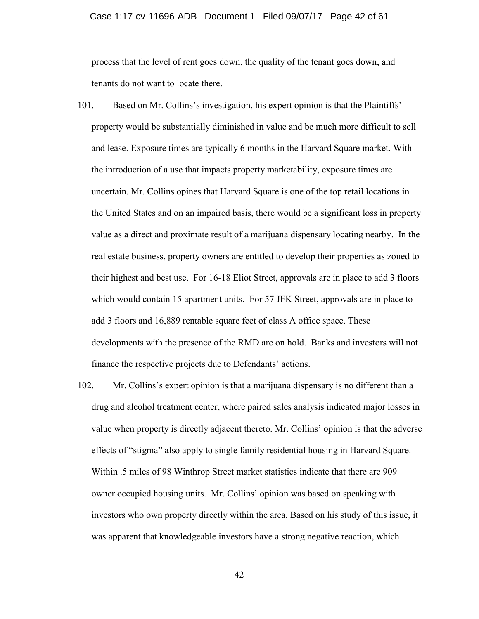#### Case 1:17-cv-11696-ADB Document 1 Filed 09/07/17 Page 42 of 61

process that the level of rent goes down, the quality of the tenant goes down, and tenants do not want to locate there.

- 101. Based on Mr. Collins's investigation, his expert opinion is that the Plaintiffs' property would be substantially diminished in value and be much more difficult to sell and lease. Exposure times are typically 6 months in the Harvard Square market. With the introduction of a use that impacts property marketability, exposure times are uncertain. Mr. Collins opines that Harvard Square is one of the top retail locations in the United States and on an impaired basis, there would be a significant loss in property value as a direct and proximate result of a marijuana dispensary locating nearby. In the real estate business, property owners are entitled to develop their properties as zoned to their highest and best use. For 16-18 Eliot Street, approvals are in place to add 3 floors which would contain 15 apartment units. For 57 JFK Street, approvals are in place to add 3 floors and 16,889 rentable square feet of class A office space. These developments with the presence of the RMD are on hold. Banks and investors will not finance the respective projects due to Defendants' actions.
- 102. Mr. Collins's expert opinion is that a marijuana dispensary is no different than a drug and alcohol treatment center, where paired sales analysis indicated major losses in value when property is directly adjacent thereto. Mr. Collins' opinion is that the adverse effects of "stigma" also apply to single family residential housing in Harvard Square. Within .5 miles of 98 Winthrop Street market statistics indicate that there are 909 owner occupied housing units. Mr. Collins' opinion was based on speaking with investors who own property directly within the area. Based on his study of this issue, it was apparent that knowledgeable investors have a strong negative reaction, which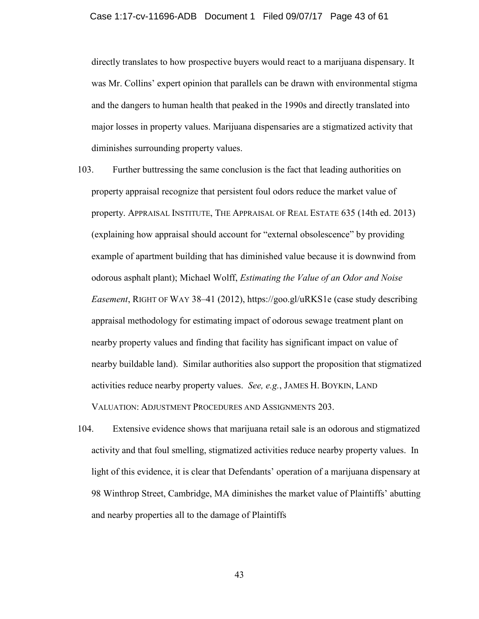directly translates to how prospective buyers would react to a marijuana dispensary. It was Mr. Collins' expert opinion that parallels can be drawn with environmental stigma and the dangers to human health that peaked in the 1990s and directly translated into major losses in property values. Marijuana dispensaries are a stigmatized activity that diminishes surrounding property values.

103. Further buttressing the same conclusion is the fact that leading authorities on property appraisal recognize that persistent foul odors reduce the market value of property. APPRAISAL INSTITUTE, THE APPRAISAL OF REAL ESTATE 635 (14th ed. 2013) (explaining how appraisal should account for "external obsolescence" by providing example of apartment building that has diminished value because it is downwind from odorous asphalt plant); Michael Wolff, *Estimating the Value of an Odor and Noise Easement*, RIGHT OF WAY 38–41 (2012), https://goo.gl/uRKS1e (case study describing appraisal methodology for estimating impact of odorous sewage treatment plant on nearby property values and finding that facility has significant impact on value of nearby buildable land). Similar authorities also support the proposition that stigmatized activities reduce nearby property values. *See, e.g.*, JAMES H. BOYKIN, LAND

VALUATION: ADJUSTMENT PROCEDURES AND ASSIGNMENTS 203.

104. Extensive evidence shows that marijuana retail sale is an odorous and stigmatized activity and that foul smelling, stigmatized activities reduce nearby property values. In light of this evidence, it is clear that Defendants' operation of a marijuana dispensary at 98 Winthrop Street, Cambridge, MA diminishes the market value of Plaintiffs' abutting and nearby properties all to the damage of Plaintiffs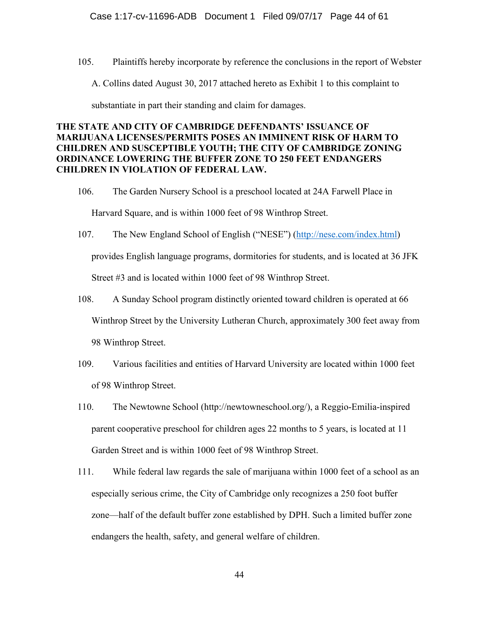105. Plaintiffs hereby incorporate by reference the conclusions in the report of Webster

A. Collins dated August 30, 2017 attached hereto as Exhibit 1 to this complaint to

substantiate in part their standing and claim for damages.

# **THE STATE AND CITY OF CAMBRIDGE DEFENDANTS' ISSUANCE OF MARIJUANA LICENSES/PERMITS POSES AN IMMINENT RISK OF HARM TO CHILDREN AND SUSCEPTIBLE YOUTH; THE CITY OF CAMBRIDGE ZONING ORDINANCE LOWERING THE BUFFER ZONE TO 250 FEET ENDANGERS CHILDREN IN VIOLATION OF FEDERAL LAW.**

- 106. The Garden Nursery School is a preschool located at 24A Farwell Place in Harvard Square, and is within 1000 feet of 98 Winthrop Street.
- 107. The New England School of English ("NESE") ([http://nese.com/index.html\)](http://nese.com/index.html) provides English language programs, dormitories for students, and is located at 36 JFK Street #3 and is located within 1000 feet of 98 Winthrop Street.
- 108. A Sunday School program distinctly oriented toward children is operated at 66 Winthrop Street by the University Lutheran Church, approximately 300 feet away from 98 Winthrop Street.
- 109. Various facilities and entities of Harvard University are located within 1000 feet of 98 Winthrop Street.
- 110. The Newtowne School (http://newtowneschool.org/), a Reggio-Emilia-inspired parent cooperative preschool for children ages 22 months to 5 years, is located at 11 Garden Street and is within 1000 feet of 98 Winthrop Street.
- 111. While federal law regards the sale of marijuana within 1000 feet of a school as an especially serious crime, the City of Cambridge only recognizes a 250 foot buffer zone—half of the default buffer zone established by DPH. Such a limited buffer zone endangers the health, safety, and general welfare of children.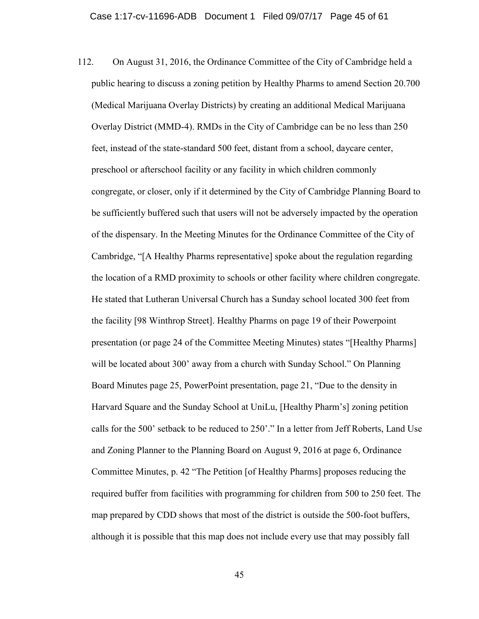112. On August 31, 2016, the Ordinance Committee of the City of Cambridge held a public hearing to discuss a zoning petition by Healthy Pharms to amend Section 20.700 (Medical Marijuana Overlay Districts) by creating an additional Medical Marijuana Overlay District (MMD-4). RMDs in the City of Cambridge can be no less than 250 feet, instead of the state-standard 500 feet, distant from a school, daycare center, preschool or afterschool facility or any facility in which children commonly congregate, or closer, only if it determined by the City of Cambridge Planning Board to be sufficiently buffered such that users will not be adversely impacted by the operation of the dispensary. In the Meeting Minutes for the Ordinance Committee of the City of Cambridge, "[A Healthy Pharms representative] spoke about the regulation regarding the location of a RMD proximity to schools or other facility where children congregate. He stated that Lutheran Universal Church has a Sunday school located 300 feet from the facility [98 Winthrop Street]. Healthy Pharms on page 19 of their Powerpoint presentation (or page 24 of the Committee Meeting Minutes) states "[Healthy Pharms] will be located about 300' away from a church with Sunday School." On Planning Board Minutes page 25, PowerPoint presentation, page 21, "Due to the density in Harvard Square and the Sunday School at UniLu, [Healthy Pharm's] zoning petition calls for the 500' setback to be reduced to 250'." In a letter from Jeff Roberts, Land Use and Zoning Planner to the Planning Board on August 9, 2016 at page 6, Ordinance Committee Minutes, p. 42 "The Petition [of Healthy Pharms] proposes reducing the required buffer from facilities with programming for children from 500 to 250 feet. The map prepared by CDD shows that most of the district is outside the 500-foot buffers, although it is possible that this map does not include every use that may possibly fall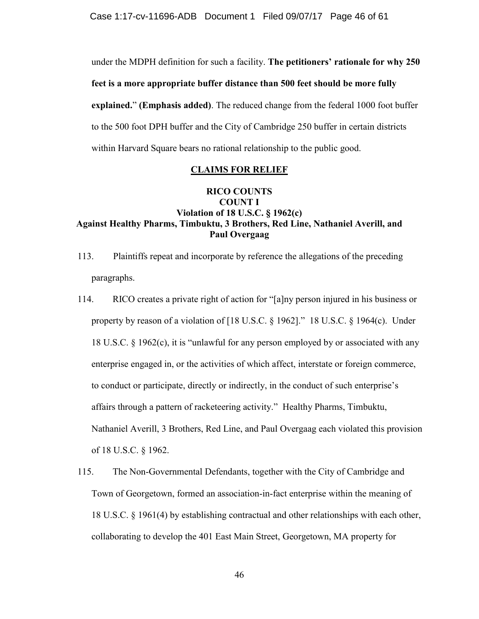Case 1:17-cv-11696-ADB Document 1 Filed 09/07/17 Page 46 of 61

under the MDPH definition for such a facility. **The petitioners' rationale for why 250 feet is a more appropriate buffer distance than 500 feet should be more fully explained.**" **(Emphasis added)**. The reduced change from the federal 1000 foot buffer to the 500 foot DPH buffer and the City of Cambridge 250 buffer in certain districts within Harvard Square bears no rational relationship to the public good.

## **CLAIMS FOR RELIEF**

# **RICO COUNTS COUNT I Violation of 18 U.S.C. § 1962(c) Against Healthy Pharms, Timbuktu, 3 Brothers, Red Line, Nathaniel Averill, and Paul Overgaag**

- 113. Plaintiffs repeat and incorporate by reference the allegations of the preceding paragraphs.
- 114. RICO creates a private right of action for "[a]ny person injured in his business or property by reason of a violation of [18 U.S.C. § 1962]." 18 U.S.C. § 1964(c). Under 18 U.S.C.  $\S$  1962(c), it is "unlawful for any person employed by or associated with any enterprise engaged in, or the activities of which affect, interstate or foreign commerce, to conduct or participate, directly or indirectly, in the conduct of such enterprise's affairs through a pattern of racketeering activity." Healthy Pharms, Timbuktu, Nathaniel Averill, 3 Brothers, Red Line, and Paul Overgaag each violated this provision of 18 U.S.C. § 1962.
- 115. The Non-Governmental Defendants, together with the City of Cambridge and Town of Georgetown, formed an association-in-fact enterprise within the meaning of 18 U.S.C. § 1961(4) by establishing contractual and other relationships with each other, collaborating to develop the 401 East Main Street, Georgetown, MA property for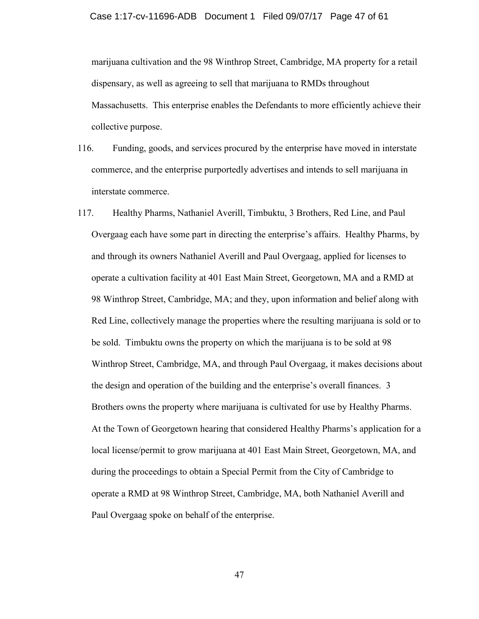marijuana cultivation and the 98 Winthrop Street, Cambridge, MA property for a retail dispensary, as well as agreeing to sell that marijuana to RMDs throughout Massachusetts. This enterprise enables the Defendants to more efficiently achieve their collective purpose.

- 116. Funding, goods, and services procured by the enterprise have moved in interstate commerce, and the enterprise purportedly advertises and intends to sell marijuana in interstate commerce.
- 117. Healthy Pharms, Nathaniel Averill, Timbuktu, 3 Brothers, Red Line, and Paul Overgaag each have some part in directing the enterprise's affairs. Healthy Pharms, by and through its owners Nathaniel Averill and Paul Overgaag, applied for licenses to operate a cultivation facility at 401 East Main Street, Georgetown, MA and a RMD at 98 Winthrop Street, Cambridge, MA; and they, upon information and belief along with Red Line, collectively manage the properties where the resulting marijuana is sold or to be sold. Timbuktu owns the property on which the marijuana is to be sold at 98 Winthrop Street, Cambridge, MA, and through Paul Overgaag, it makes decisions about the design and operation of the building and the enterprise's overall finances. 3 Brothers owns the property where marijuana is cultivated for use by Healthy Pharms. At the Town of Georgetown hearing that considered Healthy Pharms's application for a local license/permit to grow marijuana at 401 East Main Street, Georgetown, MA, and during the proceedings to obtain a Special Permit from the City of Cambridge to operate a RMD at 98 Winthrop Street, Cambridge, MA, both Nathaniel Averill and Paul Overgaag spoke on behalf of the enterprise.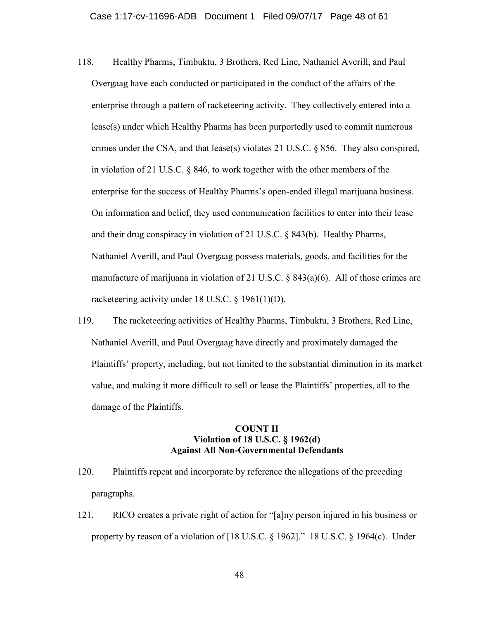- 118. Healthy Pharms, Timbuktu, 3 Brothers, Red Line, Nathaniel Averill, and Paul Overgaag have each conducted or participated in the conduct of the affairs of the enterprise through a pattern of racketeering activity. They collectively entered into a lease(s) under which Healthy Pharms has been purportedly used to commit numerous crimes under the CSA, and that lease(s) violates 21 U.S.C. § 856. They also conspired, in violation of 21 U.S.C. § 846, to work together with the other members of the enterprise for the success of Healthy Pharms's open-ended illegal marijuana business. On information and belief, they used communication facilities to enter into their lease and their drug conspiracy in violation of 21 U.S.C. § 843(b). Healthy Pharms, Nathaniel Averill, and Paul Overgaag possess materials, goods, and facilities for the manufacture of marijuana in violation of 21 U.S.C. § 843(a)(6). All of those crimes are racketeering activity under 18 U.S.C. § 1961(1)(D).
- 119. The racketeering activities of Healthy Pharms, Timbuktu, 3 Brothers, Red Line, Nathaniel Averill, and Paul Overgaag have directly and proximately damaged the Plaintiffs' property, including, but not limited to the substantial diminution in its market value, and making it more difficult to sell or lease the Plaintiffs' properties, all to the damage of the Plaintiffs.

### **COUNT II Violation of 18 U.S.C. § 1962(d) Against All Non-Governmental Defendants**

- 120. Plaintiffs repeat and incorporate by reference the allegations of the preceding paragraphs.
- 121. RICO creates a private right of action for "[a]ny person injured in his business or property by reason of a violation of [18 U.S.C. § 1962]." 18 U.S.C. § 1964(c). Under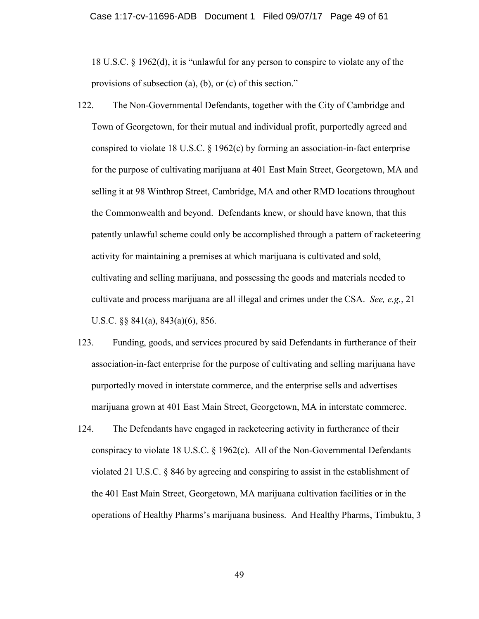18 U.S.C. § 1962(d), it is "unlawful for any person to conspire to violate any of the provisions of subsection (a), (b), or (c) of this section."

- 122. The Non-Governmental Defendants, together with the City of Cambridge and Town of Georgetown, for their mutual and individual profit, purportedly agreed and conspired to violate 18 U.S.C. § 1962(c) by forming an association-in-fact enterprise for the purpose of cultivating marijuana at 401 East Main Street, Georgetown, MA and selling it at 98 Winthrop Street, Cambridge, MA and other RMD locations throughout the Commonwealth and beyond. Defendants knew, or should have known, that this patently unlawful scheme could only be accomplished through a pattern of racketeering activity for maintaining a premises at which marijuana is cultivated and sold, cultivating and selling marijuana, and possessing the goods and materials needed to cultivate and process marijuana are all illegal and crimes under the CSA. *See, e.g.*, 21 U.S.C. §§ 841(a), 843(a)(6), 856.
- 123. Funding, goods, and services procured by said Defendants in furtherance of their association-in-fact enterprise for the purpose of cultivating and selling marijuana have purportedly moved in interstate commerce, and the enterprise sells and advertises marijuana grown at 401 East Main Street, Georgetown, MA in interstate commerce.
- 124. The Defendants have engaged in racketeering activity in furtherance of their conspiracy to violate 18 U.S.C. § 1962(c). All of the Non-Governmental Defendants violated 21 U.S.C. § 846 by agreeing and conspiring to assist in the establishment of the 401 East Main Street, Georgetown, MA marijuana cultivation facilities or in the operations of Healthy Pharms's marijuana business. And Healthy Pharms, Timbuktu, 3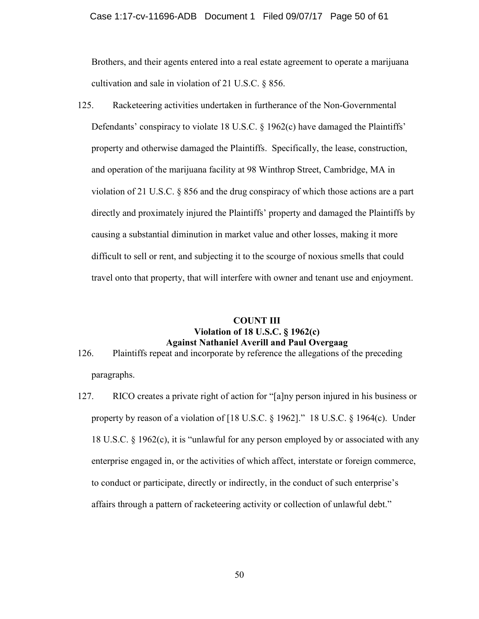### Case 1:17-cv-11696-ADB Document 1 Filed 09/07/17 Page 50 of 61

Brothers, and their agents entered into a real estate agreement to operate a marijuana cultivation and sale in violation of 21 U.S.C. § 856.

125. Racketeering activities undertaken in furtherance of the Non-Governmental Defendants' conspiracy to violate 18 U.S.C. § 1962(c) have damaged the Plaintiffs' property and otherwise damaged the Plaintiffs. Specifically, the lease, construction, and operation of the marijuana facility at 98 Winthrop Street, Cambridge, MA in violation of 21 U.S.C. § 856 and the drug conspiracy of which those actions are a part directly and proximately injured the Plaintiffs' property and damaged the Plaintiffs by causing a substantial diminution in market value and other losses, making it more difficult to sell or rent, and subjecting it to the scourge of noxious smells that could travel onto that property, that will interfere with owner and tenant use and enjoyment.

## **COUNT III Violation of 18 U.S.C. § 1962(c) Against Nathaniel Averill and Paul Overgaag**

- 126. Plaintiffs repeat and incorporate by reference the allegations of the preceding paragraphs.
- 127. RICO creates a private right of action for "[a]ny person injured in his business or property by reason of a violation of [18 U.S.C. § 1962]." 18 U.S.C. § 1964(c). Under 18 U.S.C.  $\S$  1962(c), it is "unlawful for any person employed by or associated with any enterprise engaged in, or the activities of which affect, interstate or foreign commerce, to conduct or participate, directly or indirectly, in the conduct of such enterprise's affairs through a pattern of racketeering activity or collection of unlawful debt."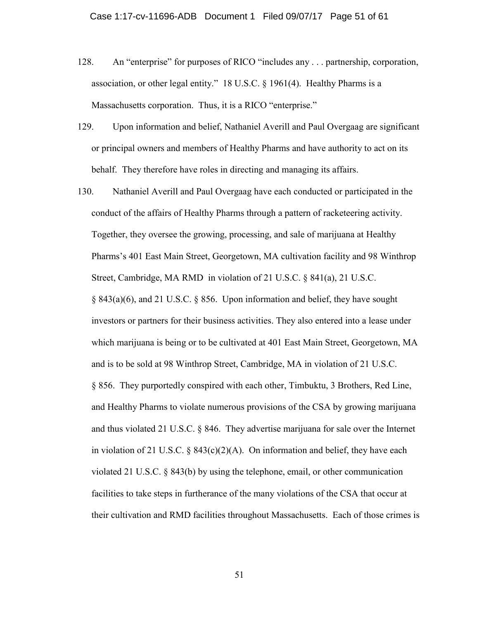- 128. An "enterprise" for purposes of RICO "includes any . . . partnership, corporation, association, or other legal entity." 18 U.S.C. § 1961(4). Healthy Pharms is a Massachusetts corporation. Thus, it is a RICO "enterprise."
- 129. Upon information and belief, Nathaniel Averill and Paul Overgaag are significant or principal owners and members of Healthy Pharms and have authority to act on its behalf. They therefore have roles in directing and managing its affairs.
- 130. Nathaniel Averill and Paul Overgaag have each conducted or participated in the conduct of the affairs of Healthy Pharms through a pattern of racketeering activity. Together, they oversee the growing, processing, and sale of marijuana at Healthy Pharms's 401 East Main Street, Georgetown, MA cultivation facility and 98 Winthrop Street, Cambridge, MA RMD in violation of 21 U.S.C. § 841(a), 21 U.S.C. § 843(a)(6), and 21 U.S.C. § 856. Upon information and belief, they have sought investors or partners for their business activities. They also entered into a lease under which marijuana is being or to be cultivated at 401 East Main Street, Georgetown, MA and is to be sold at 98 Winthrop Street, Cambridge, MA in violation of 21 U.S.C. § 856. They purportedly conspired with each other, Timbuktu, 3 Brothers, Red Line, and Healthy Pharms to violate numerous provisions of the CSA by growing marijuana and thus violated 21 U.S.C. § 846. They advertise marijuana for sale over the Internet in violation of 21 U.S.C.  $\S$  843(c)(2)(A). On information and belief, they have each violated 21 U.S.C. § 843(b) by using the telephone, email, or other communication facilities to take steps in furtherance of the many violations of the CSA that occur at their cultivation and RMD facilities throughout Massachusetts. Each of those crimes is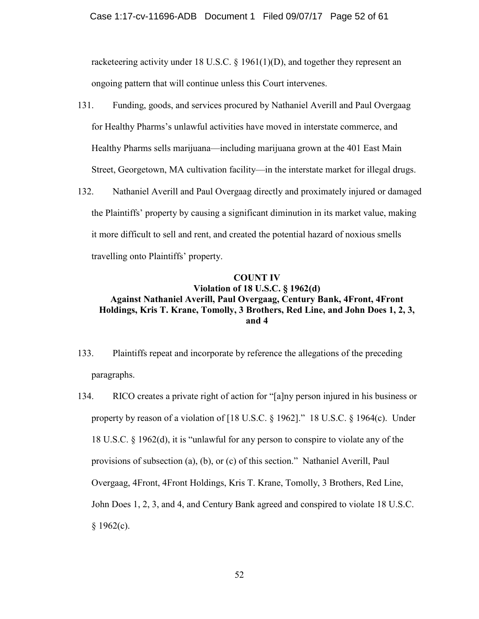racketeering activity under 18 U.S.C. § 1961(1)(D), and together they represent an ongoing pattern that will continue unless this Court intervenes.

- 131. Funding, goods, and services procured by Nathaniel Averill and Paul Overgaag for Healthy Pharms's unlawful activities have moved in interstate commerce, and Healthy Pharms sells marijuana—including marijuana grown at the 401 East Main Street, Georgetown, MA cultivation facility—in the interstate market for illegal drugs.
- 132. Nathaniel Averill and Paul Overgaag directly and proximately injured or damaged the Plaintiffs' property by causing a significant diminution in its market value, making it more difficult to sell and rent, and created the potential hazard of noxious smells travelling onto Plaintiffs' property.

# **COUNT IV Violation of 18 U.S.C. § 1962(d) Against Nathaniel Averill, Paul Overgaag, Century Bank, 4Front, 4Front Holdings, Kris T. Krane, Tomolly, 3 Brothers, Red Line, and John Does 1, 2, 3, and 4**

- 133. Plaintiffs repeat and incorporate by reference the allegations of the preceding paragraphs.
- 134. RICO creates a private right of action for "[a]ny person injured in his business or property by reason of a violation of [18 U.S.C. § 1962]." 18 U.S.C. § 1964(c). Under 18 U.S.C. § 1962(d), it is "unlawful for any person to conspire to violate any of the provisions of subsection (a), (b), or (c) of this section." Nathaniel Averill, Paul Overgaag, 4Front, 4Front Holdings, Kris T. Krane, Tomolly, 3 Brothers, Red Line, John Does 1, 2, 3, and 4, and Century Bank agreed and conspired to violate 18 U.S.C.  $$1962(c).$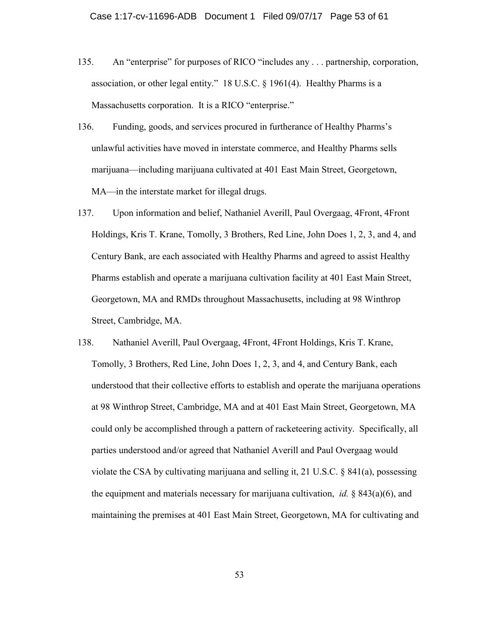- 135. An "enterprise" for purposes of RICO "includes any . . . partnership, corporation, association, or other legal entity." 18 U.S.C. § 1961(4). Healthy Pharms is a Massachusetts corporation. It is a RICO "enterprise."
- 136. Funding, goods, and services procured in furtherance of Healthy Pharms's unlawful activities have moved in interstate commerce, and Healthy Pharms sells marijuana—including marijuana cultivated at 401 East Main Street, Georgetown, MA—in the interstate market for illegal drugs.
- 137. Upon information and belief, Nathaniel Averill, Paul Overgaag, 4Front, 4Front Holdings, Kris T. Krane, Tomolly, 3 Brothers, Red Line, John Does 1, 2, 3, and 4, and Century Bank, are each associated with Healthy Pharms and agreed to assist Healthy Pharms establish and operate a marijuana cultivation facility at 401 East Main Street, Georgetown, MA and RMDs throughout Massachusetts, including at 98 Winthrop Street, Cambridge, MA.
- 138. Nathaniel Averill, Paul Overgaag, 4Front, 4Front Holdings, Kris T. Krane, Tomolly, 3 Brothers, Red Line, John Does 1, 2, 3, and 4, and Century Bank, each understood that their collective efforts to establish and operate the marijuana operations at 98 Winthrop Street, Cambridge, MA and at 401 East Main Street, Georgetown, MA could only be accomplished through a pattern of racketeering activity. Specifically, all parties understood and/or agreed that Nathaniel Averill and Paul Overgaag would violate the CSA by cultivating marijuana and selling it, 21 U.S.C. § 841(a), possessing the equipment and materials necessary for marijuana cultivation, *id.* § 843(a)(6), and maintaining the premises at 401 East Main Street, Georgetown, MA for cultivating and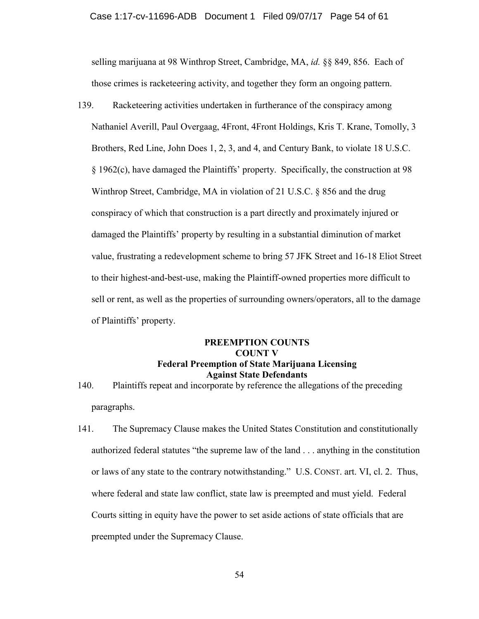selling marijuana at 98 Winthrop Street, Cambridge, MA, *id.* §§ 849, 856. Each of those crimes is racketeering activity, and together they form an ongoing pattern.

139. Racketeering activities undertaken in furtherance of the conspiracy among Nathaniel Averill, Paul Overgaag, 4Front, 4Front Holdings, Kris T. Krane, Tomolly, 3 Brothers, Red Line, John Does 1, 2, 3, and 4, and Century Bank, to violate 18 U.S.C. § 1962(c), have damaged the Plaintiffs' property. Specifically, the construction at 98 Winthrop Street, Cambridge, MA in violation of 21 U.S.C. § 856 and the drug conspiracy of which that construction is a part directly and proximately injured or damaged the Plaintiffs' property by resulting in a substantial diminution of market value, frustrating a redevelopment scheme to bring 57 JFK Street and 16-18 Eliot Street to their highest-and-best-use, making the Plaintiff-owned properties more difficult to sell or rent, as well as the properties of surrounding owners/operators, all to the damage of Plaintiffs' property.

# **PREEMPTION COUNTS COUNT V Federal Preemption of State Marijuana Licensing Against State Defendants**

- 140. Plaintiffs repeat and incorporate by reference the allegations of the preceding paragraphs.
- 141. The Supremacy Clause makes the United States Constitution and constitutionally authorized federal statutes "the supreme law of the land . . . anything in the constitution or laws of any state to the contrary notwithstanding." U.S. CONST. art. VI, cl. 2. Thus, where federal and state law conflict, state law is preempted and must yield. Federal Courts sitting in equity have the power to set aside actions of state officials that are preempted under the Supremacy Clause.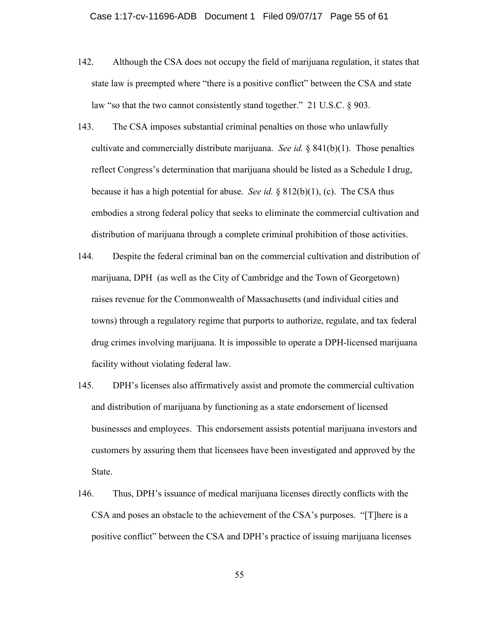- 142. Although the CSA does not occupy the field of marijuana regulation, it states that state law is preempted where "there is a positive conflict" between the CSA and state law "so that the two cannot consistently stand together." 21 U.S.C. § 903.
- 143. The CSA imposes substantial criminal penalties on those who unlawfully cultivate and commercially distribute marijuana. *See id.* § 841(b)(1). Those penalties reflect Congress's determination that marijuana should be listed as a Schedule I drug, because it has a high potential for abuse. *See id.* § 812(b)(1), (c). The CSA thus embodies a strong federal policy that seeks to eliminate the commercial cultivation and distribution of marijuana through a complete criminal prohibition of those activities.
- 144. Despite the federal criminal ban on the commercial cultivation and distribution of marijuana, DPH (as well as the City of Cambridge and the Town of Georgetown) raises revenue for the Commonwealth of Massachusetts (and individual cities and towns) through a regulatory regime that purports to authorize, regulate, and tax federal drug crimes involving marijuana. It is impossible to operate a DPH-licensed marijuana facility without violating federal law.
- 145. DPH's licenses also affirmatively assist and promote the commercial cultivation and distribution of marijuana by functioning as a state endorsement of licensed businesses and employees. This endorsement assists potential marijuana investors and customers by assuring them that licensees have been investigated and approved by the State.
- 146. Thus, DPH's issuance of medical marijuana licenses directly conflicts with the CSA and poses an obstacle to the achievement of the CSA's purposes. "[T]here is a positive conflict" between the CSA and DPH's practice of issuing marijuana licenses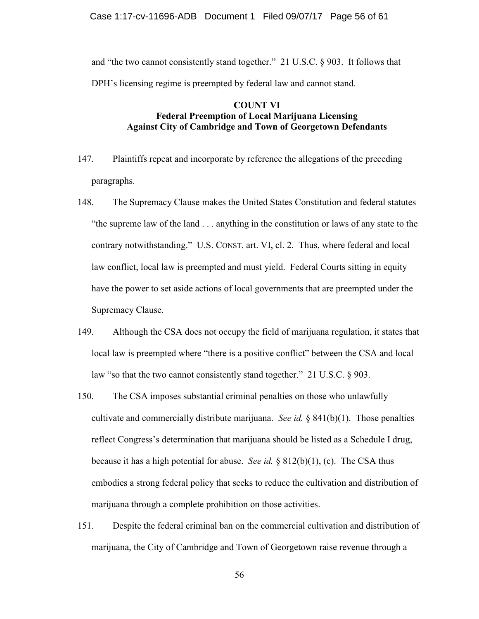### Case 1:17-cv-11696-ADB Document 1 Filed 09/07/17 Page 56 of 61

and "the two cannot consistently stand together." 21 U.S.C. § 903. It follows that DPH's licensing regime is preempted by federal law and cannot stand.

## **COUNT VI Federal Preemption of Local Marijuana Licensing Against City of Cambridge and Town of Georgetown Defendants**

- 147. Plaintiffs repeat and incorporate by reference the allegations of the preceding paragraphs.
- 148. The Supremacy Clause makes the United States Constitution and federal statutes "the supreme law of the land . . . anything in the constitution or laws of any state to the contrary notwithstanding." U.S. CONST. art. VI, cl. 2. Thus, where federal and local law conflict, local law is preempted and must yield. Federal Courts sitting in equity have the power to set aside actions of local governments that are preempted under the Supremacy Clause.
- 149. Although the CSA does not occupy the field of marijuana regulation, it states that local law is preempted where "there is a positive conflict" between the CSA and local law "so that the two cannot consistently stand together." 21 U.S.C. § 903.
- 150. The CSA imposes substantial criminal penalties on those who unlawfully cultivate and commercially distribute marijuana. *See id.* § 841(b)(1). Those penalties reflect Congress's determination that marijuana should be listed as a Schedule I drug, because it has a high potential for abuse. *See id.* § 812(b)(1), (c). The CSA thus embodies a strong federal policy that seeks to reduce the cultivation and distribution of marijuana through a complete prohibition on those activities.
- 151. Despite the federal criminal ban on the commercial cultivation and distribution of marijuana, the City of Cambridge and Town of Georgetown raise revenue through a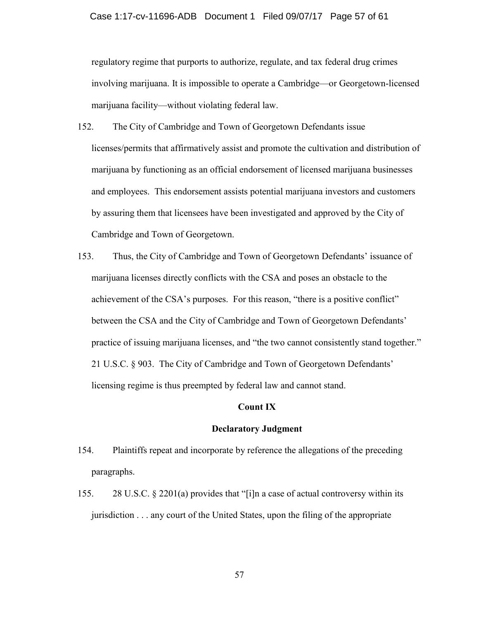regulatory regime that purports to authorize, regulate, and tax federal drug crimes involving marijuana. It is impossible to operate a Cambridge—or Georgetown-licensed marijuana facility—without violating federal law.

- 152. The City of Cambridge and Town of Georgetown Defendants issue licenses/permits that affirmatively assist and promote the cultivation and distribution of marijuana by functioning as an official endorsement of licensed marijuana businesses and employees. This endorsement assists potential marijuana investors and customers by assuring them that licensees have been investigated and approved by the City of Cambridge and Town of Georgetown.
- 153. Thus, the City of Cambridge and Town of Georgetown Defendants' issuance of marijuana licenses directly conflicts with the CSA and poses an obstacle to the achievement of the CSA's purposes. For this reason, "there is a positive conflict" between the CSA and the City of Cambridge and Town of Georgetown Defendants' practice of issuing marijuana licenses, and "the two cannot consistently stand together." 21 U.S.C. § 903. The City of Cambridge and Town of Georgetown Defendants' licensing regime is thus preempted by federal law and cannot stand.

### **Count IX**

### **Declaratory Judgment**

- 154. Plaintiffs repeat and incorporate by reference the allegations of the preceding paragraphs.
- 155. 28 U.S.C. § 2201(a) provides that "[i]n a case of actual controversy within its jurisdiction . . . any court of the United States, upon the filing of the appropriate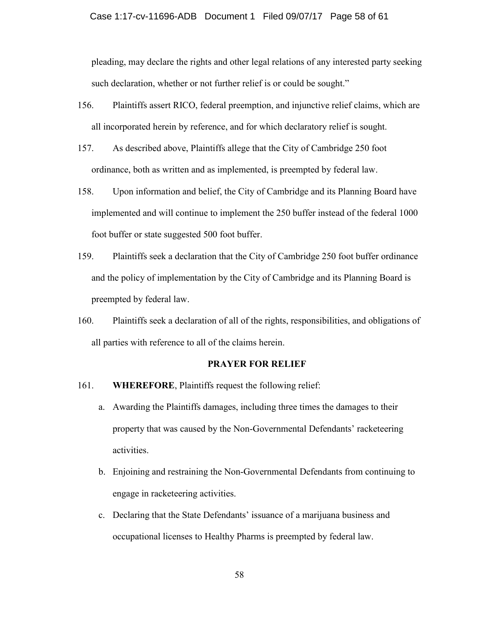pleading, may declare the rights and other legal relations of any interested party seeking such declaration, whether or not further relief is or could be sought."

- 156. Plaintiffs assert RICO, federal preemption, and injunctive relief claims, which are all incorporated herein by reference, and for which declaratory relief is sought.
- 157. As described above, Plaintiffs allege that the City of Cambridge 250 foot ordinance, both as written and as implemented, is preempted by federal law.
- 158. Upon information and belief, the City of Cambridge and its Planning Board have implemented and will continue to implement the 250 buffer instead of the federal 1000 foot buffer or state suggested 500 foot buffer.
- 159. Plaintiffs seek a declaration that the City of Cambridge 250 foot buffer ordinance and the policy of implementation by the City of Cambridge and its Planning Board is preempted by federal law.
- 160. Plaintiffs seek a declaration of all of the rights, responsibilities, and obligations of all parties with reference to all of the claims herein.

### **PRAYER FOR RELIEF**

- 161. **WHEREFORE**, Plaintiffs request the following relief:
	- a. Awarding the Plaintiffs damages, including three times the damages to their property that was caused by the Non-Governmental Defendants' racketeering activities.
	- b. Enjoining and restraining the Non-Governmental Defendants from continuing to engage in racketeering activities.
	- c. Declaring that the State Defendants' issuance of a marijuana business and occupational licenses to Healthy Pharms is preempted by federal law.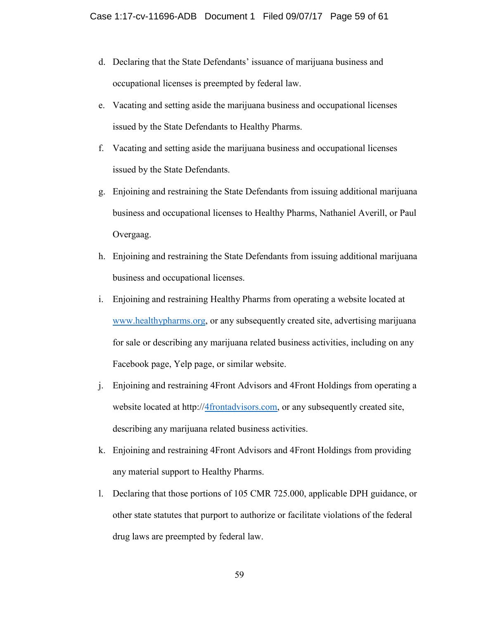- d. Declaring that the State Defendants' issuance of marijuana business and occupational licenses is preempted by federal law.
- e. Vacating and setting aside the marijuana business and occupational licenses issued by the State Defendants to Healthy Pharms.
- f. Vacating and setting aside the marijuana business and occupational licenses issued by the State Defendants.
- g. Enjoining and restraining the State Defendants from issuing additional marijuana business and occupational licenses to Healthy Pharms, Nathaniel Averill, or Paul Overgaag.
- h. Enjoining and restraining the State Defendants from issuing additional marijuana business and occupational licenses.
- i. Enjoining and restraining Healthy Pharms from operating a website located at [www.healthypharms.org,](http://www.healthypharms.org/) or any subsequently created site, advertising marijuana for sale or describing any marijuana related business activities, including on any Facebook page, Yelp page, or similar website.
- j. Enjoining and restraining 4Front Advisors and 4Front Holdings from operating a website located at http:/[/4frontadvisors.com,](http://www.healthypharms.org/) or any subsequently created site, describing any marijuana related business activities.
- k. Enjoining and restraining 4Front Advisors and 4Front Holdings from providing any material support to Healthy Pharms.
- l. Declaring that those portions of 105 CMR 725.000, applicable DPH guidance, or other state statutes that purport to authorize or facilitate violations of the federal drug laws are preempted by federal law.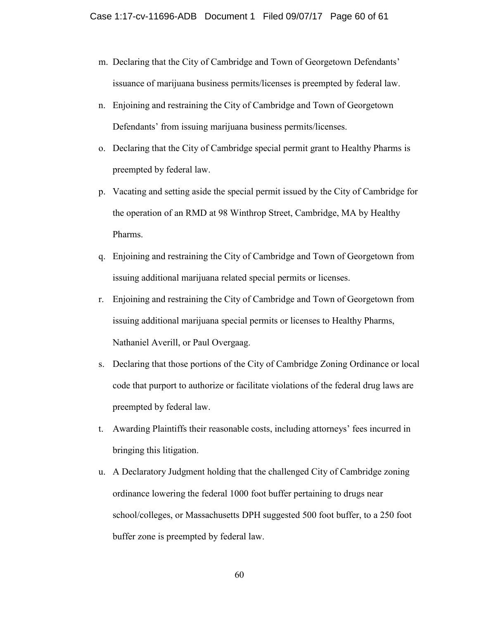- m. Declaring that the City of Cambridge and Town of Georgetown Defendants' issuance of marijuana business permits/licenses is preempted by federal law.
- n. Enjoining and restraining the City of Cambridge and Town of Georgetown Defendants' from issuing marijuana business permits/licenses.
- o. Declaring that the City of Cambridge special permit grant to Healthy Pharms is preempted by federal law.
- p. Vacating and setting aside the special permit issued by the City of Cambridge for the operation of an RMD at 98 Winthrop Street, Cambridge, MA by Healthy Pharms.
- q. Enjoining and restraining the City of Cambridge and Town of Georgetown from issuing additional marijuana related special permits or licenses.
- r. Enjoining and restraining the City of Cambridge and Town of Georgetown from issuing additional marijuana special permits or licenses to Healthy Pharms, Nathaniel Averill, or Paul Overgaag.
- s. Declaring that those portions of the City of Cambridge Zoning Ordinance or local code that purport to authorize or facilitate violations of the federal drug laws are preempted by federal law.
- t. Awarding Plaintiffs their reasonable costs, including attorneys' fees incurred in bringing this litigation.
- u. A Declaratory Judgment holding that the challenged City of Cambridge zoning ordinance lowering the federal 1000 foot buffer pertaining to drugs near school/colleges, or Massachusetts DPH suggested 500 foot buffer, to a 250 foot buffer zone is preempted by federal law.